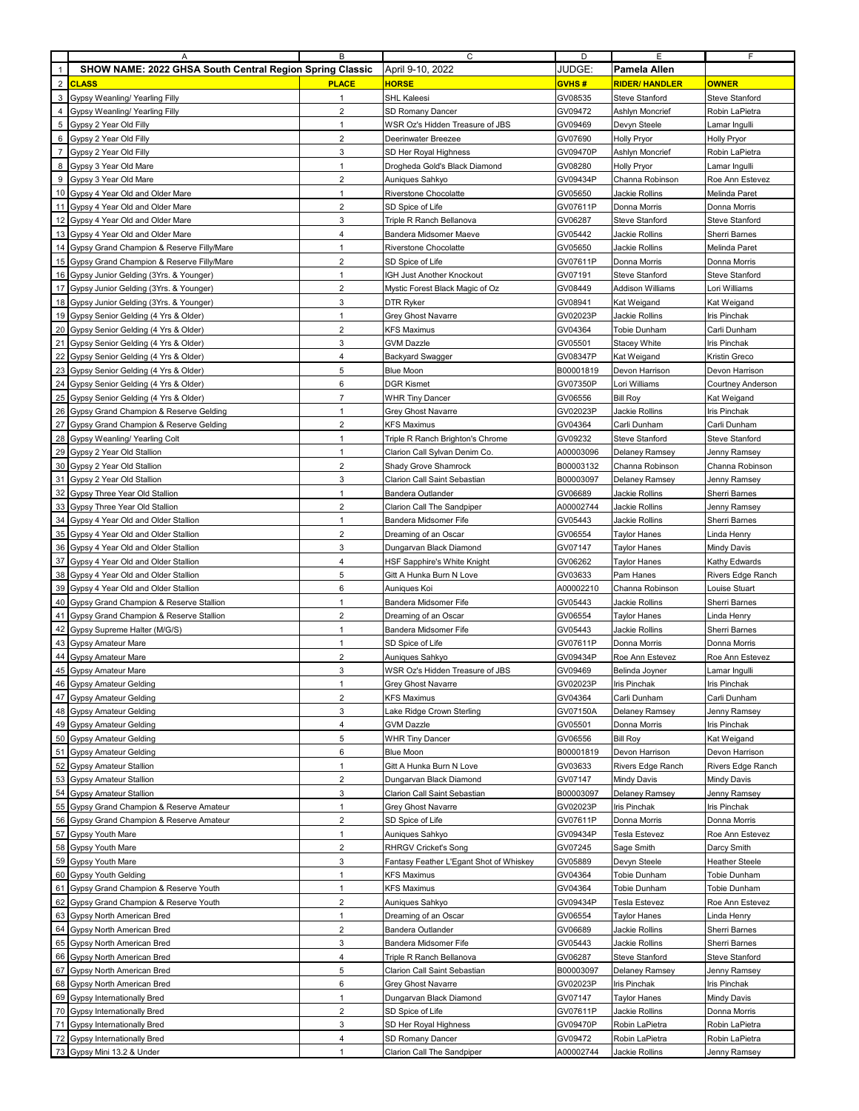|                | A                                                                            | В                              | С                                                      | D                    | Е                                     | F                                    |
|----------------|------------------------------------------------------------------------------|--------------------------------|--------------------------------------------------------|----------------------|---------------------------------------|--------------------------------------|
| $\mathbf{1}$   | SHOW NAME: 2022 GHSA South Central Region Spring Classic                     |                                | April 9-10, 2022                                       | JUDGE:               | Pamela Allen                          |                                      |
| $\overline{2}$ | <b>CLASS</b>                                                                 | <b>PLACE</b>                   | <b>HORSE</b>                                           | GVHS#                | <b>RIDER/HANDLER</b>                  | <b>OWNER</b>                         |
| 3              | Gypsy Weanling/ Yearling Filly                                               | $\mathbf{1}$                   | SHL Kaleesi                                            | GV08535              | Steve Stanford                        | Steve Stanford                       |
| 4              | Gypsy Weanling/ Yearling Filly                                               | $\overline{2}$                 | SD Romany Dancer                                       | GV09472              | Ashlyn Moncrief                       | Robin LaPietra                       |
| 5<br>6         | Gypsy 2 Year Old Filly                                                       | $\mathbf{1}$<br>$\overline{2}$ | WSR Oz's Hidden Treasure of JBS<br>Deerinwater Breezee | GV09469<br>GV07690   | Devyn Steele                          | Lamar Ingulli                        |
| $\overline{7}$ | Gypsy 2 Year Old Filly<br>Gypsy 2 Year Old Filly                             | 3                              | SD Her Royal Highness                                  | GV09470P             | <b>Holly Pryor</b><br>Ashlyn Moncrief | <b>Holly Pryor</b><br>Robin LaPietra |
| 8              | Gypsy 3 Year Old Mare                                                        | $\mathbf{1}$                   | Drogheda Gold's Black Diamond                          | GV08280              | <b>Holly Pryor</b>                    | Lamar Ingulli                        |
| 9              | Gypsy 3 Year Old Mare                                                        | 2                              | Auniques Sahkyo                                        | GV09434P             | Channa Robinson                       | Roe Ann Estevez                      |
| 10             | Gypsy 4 Year Old and Older Mare                                              | $\mathbf{1}$                   | Riverstone Chocolatte                                  | GV05650              | Jackie Rollins                        | Melinda Paret                        |
|                | 11 Gypsy 4 Year Old and Older Mare                                           | $\overline{2}$                 | SD Spice of Life                                       | GV07611P             | Donna Morris                          | Donna Morris                         |
| 12             | Gypsy 4 Year Old and Older Mare                                              | 3                              | Triple R Ranch Bellanova                               | GV06287              | Steve Stanford                        | Steve Stanford                       |
| 13             | Gypsy 4 Year Old and Older Mare                                              | $\overline{4}$                 | Bandera Midsomer Maeve                                 | GV05442              | Jackie Rollins                        | Sherri Barnes                        |
| 14             | Gypsy Grand Champion & Reserve Filly/Mare                                    | $\mathbf{1}$                   | Riverstone Chocolatte                                  | GV05650              | Jackie Rollins                        | Melinda Paret                        |
| 15             | Gypsy Grand Champion & Reserve Filly/Mare                                    | $\overline{2}$                 | SD Spice of Life                                       | GV07611P             | Donna Morris                          | Donna Morris                         |
| 16             | Gypsy Junior Gelding (3Yrs. & Younger)                                       | $\mathbf{1}$                   | IGH Just Another Knockout                              | GV07191              | Steve Stanford                        | Steve Stanford                       |
| 17             | Gypsy Junior Gelding (3Yrs. & Younger)                                       | $\overline{2}$                 | Mystic Forest Black Magic of Oz                        | GV08449              | <b>Addison Williams</b>               | Lori Williams                        |
| 18             | Gypsy Junior Gelding (3Yrs. & Younger)                                       | 3                              | DTR Ryker                                              | GV08941              | Kat Weigand                           | Kat Weigand                          |
| 19<br>20       | Gypsy Senior Gelding (4 Yrs & Older)                                         | $\mathbf{1}$<br>$\overline{2}$ | Grey Ghost Navarre                                     | GV02023P             | Jackie Rollins                        | Iris Pinchak                         |
| 21             | Gypsy Senior Gelding (4 Yrs & Older)<br>Gypsy Senior Gelding (4 Yrs & Older) | 3                              | KFS Maximus<br><b>GVM Dazzle</b>                       | GV04364<br>GV05501   | Tobie Dunham<br>Stacey White          | Carli Dunham<br>Iris Pinchak         |
| 22             | Gypsy Senior Gelding (4 Yrs & Older)                                         | $\overline{4}$                 | <b>Backyard Swagger</b>                                | GV08347P             | Kat Weigand                           | Kristin Greco                        |
| 23             | Gypsy Senior Gelding (4 Yrs & Older)                                         | 5                              | Blue Moon                                              | B00001819            | Devon Harrison                        | Devon Harrison                       |
| 24             | Gypsy Senior Gelding (4 Yrs & Older)                                         | 6                              | <b>DGR Kismet</b>                                      | GV07350P             | Lori Williams                         | Courtney Anderson                    |
| 25             | Gypsy Senior Gelding (4 Yrs & Older)                                         | $\overline{7}$                 | WHR Tiny Dancer                                        | GV06556              | <b>Bill Roy</b>                       | Kat Weigand                          |
| 26             | Gypsy Grand Champion & Reserve Gelding                                       | $\mathbf{1}$                   | Grey Ghost Navarre                                     | GV02023P             | Jackie Rollins                        | Iris Pinchak                         |
| 27             | Gypsy Grand Champion & Reserve Gelding                                       | $\overline{2}$                 | <b>KFS Maximus</b>                                     | GV04364              | Carli Dunham                          | Carli Dunham                         |
| 28             | Gypsy Weanling/ Yearling Colt                                                | $\mathbf{1}$                   | Triple R Ranch Brighton's Chrome                       | GV09232              | Steve Stanford                        | Steve Stanford                       |
| 29             | Gypsy 2 Year Old Stallion                                                    | $\mathbf{1}$                   | Clarion Call Sylvan Denim Co.                          | A00003096            | Delaney Ramsey                        | Jenny Ramsey                         |
| 30             | Gypsy 2 Year Old Stallion                                                    | 2                              | Shady Grove Shamrock                                   | B00003132            | Channa Robinson                       | Channa Robinson                      |
| 31<br>32       | Gypsy 2 Year Old Stallion                                                    | 3<br>$\mathbf{1}$              | Clarion Call Saint Sebastian                           | B00003097            | Delaney Ramsey                        | Jenny Ramsey                         |
| 33             | Gypsy Three Year Old Stallion<br>Gypsy Three Year Old Stallion               | $\overline{2}$                 | Bandera Outlander<br>Clarion Call The Sandpiper        | GV06689<br>A00002744 | Jackie Rollins<br>Jackie Rollins      | Sherri Barnes<br>Jenny Ramsey        |
| 34             | Gypsy 4 Year Old and Older Stallion                                          | $\mathbf{1}$                   | Bandera Midsomer Fife                                  | GV05443              | Jackie Rollins                        | Sherri Barnes                        |
| 35             | Gypsy 4 Year Old and Older Stallion                                          | $\overline{2}$                 | Dreaming of an Oscar                                   | GV06554              | <b>Taylor Hanes</b>                   | Linda Henry                          |
| 36             | Gypsy 4 Year Old and Older Stallion                                          | 3                              | Dungarvan Black Diamond                                | GV07147              | <b>Taylor Hanes</b>                   | Mindy Davis                          |
|                | 37 Gypsy 4 Year Old and Older Stallion                                       | $\overline{4}$                 | HSF Sapphire's White Knight                            | GV06262              | Taylor Hanes                          | Kathy Edwards                        |
|                | 38 Gypsy 4 Year Old and Older Stallion                                       | 5                              | Gitt A Hunka Burn N Love                               | GV03633              | Pam Hanes                             | Rivers Edge Ranch                    |
| 39             | Gypsy 4 Year Old and Older Stallion                                          | 6                              | Auniques Koi                                           | A00002210            | Channa Robinson                       | Louise Stuart                        |
| 40             | Gypsy Grand Champion & Reserve Stallion                                      | $\mathbf{1}$                   | Bandera Midsomer Fife                                  | GV05443              | Jackie Rollins                        | Sherri Barnes                        |
| 41<br>42       | Gypsy Grand Champion & Reserve Stallion<br>Gypsy Supreme Halter (M/G/S)      | $\overline{2}$<br>$\mathbf{1}$ | Dreaming of an Oscar<br>Bandera Midsomer Fife          | GV06554<br>GV05443   | Taylor Hanes<br>Jackie Rollins        | Linda Henry<br><b>Sherri Barnes</b>  |
| 43             | Gypsy Amateur Mare                                                           | $\mathbf{1}$                   | SD Spice of Life                                       | GV07611P             | Donna Morris                          | Donna Morris                         |
| 44             | <b>Gypsy Amateur Mare</b>                                                    | $\overline{2}$                 | Auniques Sahkyo                                        | GV09434P             | Roe Ann Estevez                       | Roe Ann Estevez                      |
| 45             | Gypsy Amateur Mare                                                           | 3                              | WSR Oz's Hidden Treasure of JBS                        | GV09469              | Belinda Joyner                        | Lamar Ingulli                        |
|                | 46 Gypsy Amateur Gelding                                                     |                                | Grey Ghost Navarre                                     | GV02023P             | Iris Pinchak                          | Iris Pinchak                         |
| 47             | Gypsy Amateur Gelding                                                        | $\overline{2}$                 | <b>KFS Maximus</b>                                     | GV04364              | Carli Dunham                          | Carli Dunham                         |
|                | 48 Gypsy Amateur Gelding                                                     | 3                              | Lake Ridge Crown Sterling                              | GV07150A             | Delaney Ramsey                        | Jenny Ramsey                         |
| 49             | Gypsy Amateur Gelding                                                        | 4                              | GVM Dazzle                                             | GV05501              | Donna Morris                          | Iris Pinchak                         |
|                | 50 Gypsy Amateur Gelding                                                     | 5                              | <b>WHR Tiny Dancer</b>                                 | GV06556              | <b>Bill Roy</b>                       | Kat Weigand                          |
| 51<br>52       | <b>Gypsy Amateur Gelding</b><br><b>Gypsy Amateur Stallion</b>                | $\boldsymbol{6}$<br>1          | <b>Blue Moon</b><br>Gitt A Hunka Burn N Love           | B00001819<br>GV03633 | Devon Harrison<br>Rivers Edge Ranch   | Devon Harrison<br>Rivers Edge Ranch  |
| 53             | Gypsy Amateur Stallion                                                       | $\overline{2}$                 | Dungarvan Black Diamond                                | GV07147              | Mindy Davis                           | Mindy Davis                          |
| 54             | <b>Gypsy Amateur Stallion</b>                                                | 3                              | Clarion Call Saint Sebastian                           | B00003097            | Delaney Ramsey                        | Jenny Ramsey                         |
| 55             | Gypsy Grand Champion & Reserve Amateur                                       | $\mathbf{1}$                   | <b>Grey Ghost Navarre</b>                              | GV02023P             | Iris Pinchak                          | Iris Pinchak                         |
| 56             | Gypsy Grand Champion & Reserve Amateur                                       | $\sqrt{2}$                     | SD Spice of Life                                       | GV07611P             | Donna Morris                          | Donna Morris                         |
|                | 57 Gypsy Youth Mare                                                          | $\mathbf{1}$                   | Auniques Sahkyo                                        | GV09434P             | Tesla Estevez                         | Roe Ann Estevez                      |
|                | 58 Gypsy Youth Mare                                                          | $\overline{2}$                 | <b>RHRGV Cricket's Song</b>                            | GV07245              | Sage Smith                            | Darcy Smith                          |
|                | 59 Gypsy Youth Mare                                                          | 3                              | Fantasy Feather L'Egant Shot of Whiskey                | GV05889              | Devyn Steele                          | <b>Heather Steele</b>                |
|                | 60 Gypsy Youth Gelding<br>61 Gypsy Grand Champion & Reserve Youth            | $\mathbf{1}$<br>$\mathbf{1}$   | <b>KFS Maximus</b><br>KFS Maximus                      | GV04364<br>GV04364   | Tobie Dunham<br>Tobie Dunham          | Tobie Dunham<br>Tobie Dunham         |
|                | 62 Gypsy Grand Champion & Reserve Youth                                      | 2                              | Auniques Sahkyo                                        | GV09434P             | Tesla Estevez                         | Roe Ann Estevez                      |
| 63             | Gypsy North American Bred                                                    | $\mathbf{1}$                   | Dreaming of an Oscar                                   | GV06554              | <b>Taylor Hanes</b>                   | Linda Henry                          |
| 64             | Gypsy North American Bred                                                    | $\sqrt{2}$                     | Bandera Outlander                                      | GV06689              | Jackie Rollins                        | Sherri Barnes                        |
|                | 65 Gypsy North American Bred                                                 | 3                              | Bandera Midsomer Fife                                  | GV05443              | Jackie Rollins                        | Sherri Barnes                        |
|                | 66 Gypsy North American Bred                                                 | 4                              | Triple R Ranch Bellanova                               | GV06287              | Steve Stanford                        | Steve Stanford                       |
|                | 67 Gypsy North American Bred                                                 | 5                              | Clarion Call Saint Sebastian                           | B00003097            | Delaney Ramsey                        | Jenny Ramsey                         |
|                | 68 Gypsy North American Bred                                                 | 6                              | Grey Ghost Navarre                                     | GV02023P             | lris Pinchak                          | lris Pinchak                         |
|                | 69 Gypsy Internationally Bred                                                | $\mathbf{1}$                   | Dungarvan Black Diamond                                | GV07147              | Taylor Hanes                          | Mindy Davis                          |
|                | 70 Gypsy Internationally Bred                                                | $\overline{2}$                 | SD Spice of Life                                       | GV07611P             | Jackie Rollins                        | Donna Morris                         |
| 72             | 71 Gypsy Internationally Bred<br>Gypsy Internationally Bred                  | 3<br>4                         | SD Her Royal Highness<br>SD Romany Dancer              | GV09470P<br>GV09472  | Robin LaPietra<br>Robin LaPietra      | Robin LaPietra<br>Robin LaPietra     |
|                | 73 Gypsy Mini 13.2 & Under                                                   | $\mathbf{1}$                   | Clarion Call The Sandpiper                             | A00002744            | Jackie Rollins                        | Jenny Ramsey                         |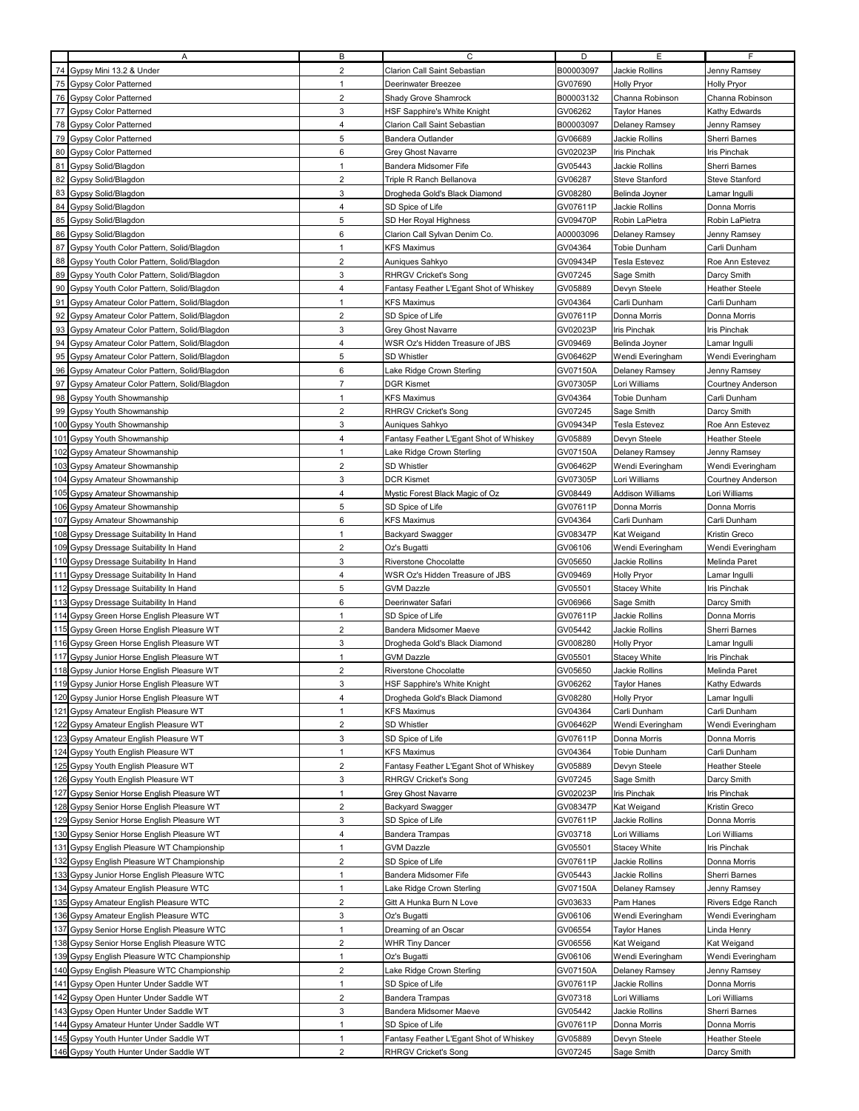|     | A                                                                                | в                              | С                                                                      | D                  | E                          | F.                            |
|-----|----------------------------------------------------------------------------------|--------------------------------|------------------------------------------------------------------------|--------------------|----------------------------|-------------------------------|
| 74  | Gypsy Mini 13.2 & Under                                                          | $\overline{2}$                 | Clarion Call Saint Sebastian                                           | B00003097          | Jackie Rollins             | Jenny Ramsey                  |
| 75  | <b>Gypsy Color Patterned</b>                                                     | $\mathbf{1}$                   | Deerinwater Breezee                                                    | GV07690            | <b>Holly Pryor</b>         | <b>Holly Pryor</b>            |
| 76  | <b>Gypsy Color Patterned</b>                                                     | $\overline{2}$                 | Shady Grove Shamrock                                                   | B00003132          | Channa Robinson            | Channa Robinson               |
|     | 77 Gypsy Color Patterned                                                         | 3                              |                                                                        | GV06262            |                            | Kathy Edwards                 |
|     |                                                                                  |                                | HSF Sapphire's White Knight                                            |                    | <b>Taylor Hanes</b>        |                               |
|     | 78 Gypsy Color Patterned                                                         | 4                              | Clarion Call Saint Sebastian                                           | B00003097          | Delaney Ramsey             | Jenny Ramsey                  |
| 79  | <b>Gypsy Color Patterned</b>                                                     | 5                              | <b>Bandera Outlander</b>                                               | GV06689            | Jackie Rollins             | Sherri Barnes                 |
| 80  | <b>Gypsy Color Patterned</b>                                                     | 6                              | Grey Ghost Navarre                                                     | GV02023P           | Iris Pinchak               | Iris Pinchak                  |
| 81  | Gypsy Solid/Blagdon                                                              | $\mathbf{1}$                   | Bandera Midsomer Fife                                                  | GV05443            | Jackie Rollins             | Sherri Barnes                 |
| 82  | Gypsy Solid/Blagdon                                                              | $\overline{2}$                 | Triple R Ranch Bellanova                                               | GV06287            | Steve Stanford             | Steve Stanford                |
| 83  | Gypsy Solid/Blagdon                                                              | 3                              | Drogheda Gold's Black Diamond                                          | GV08280            | Belinda Joyner             | Lamar Ingulli                 |
| 84  | Gypsy Solid/Blagdon                                                              | $\overline{4}$                 | SD Spice of Life                                                       | GV07611P           | Jackie Rollins             | Donna Morris                  |
| 85  | Gypsy Solid/Blagdon                                                              | 5                              | SD Her Royal Highness                                                  | GV09470P           | Robin LaPietra             | Robin LaPietra                |
| 86  | Gypsy Solid/Blagdon                                                              | 6                              | Clarion Call Sylvan Denim Co.                                          | A00003096          | Delaney Ramsey             | Jenny Ramsey                  |
|     |                                                                                  |                                |                                                                        |                    |                            |                               |
| 87  | Gypsy Youth Color Pattern, Solid/Blagdon                                         | 1                              | <b>KFS Maximus</b>                                                     | GV04364            | Tobie Dunham               | Carli Dunham                  |
| 88  | Gypsy Youth Color Pattern, Solid/Blagdon                                         | $\overline{2}$                 | Auniques Sahkyo                                                        | GV09434P           | <b>Tesla Estevez</b>       | Roe Ann Estevez               |
|     | 89 Gypsy Youth Color Pattern, Solid/Blagdon                                      | 3                              | <b>RHRGV Cricket's Song</b>                                            | GV07245            | Sage Smith                 | Darcy Smith                   |
| 90  | Gypsy Youth Color Pattern, Solid/Blagdon                                         | 4                              | Fantasy Feather L'Egant Shot of Whiskey                                | GV05889            | Devyn Steele               | Heather Steele                |
| 91  | Gypsy Amateur Color Pattern, Solid/Blagdon                                       | $\mathbf{1}$                   | <b>KFS Maximus</b>                                                     | GV04364            | Carli Dunham               | Carli Dunham                  |
| 92  | Gypsy Amateur Color Pattern, Solid/Blagdon                                       | $\overline{2}$                 | SD Spice of Life                                                       | GV07611P           | Donna Morris               | Donna Morris                  |
| 93  | Gypsy Amateur Color Pattern, Solid/Blagdon                                       | 3                              | Grey Ghost Navarre                                                     | GV02023P           | Iris Pinchak               | lris Pinchak                  |
| 94  | Gypsy Amateur Color Pattern, Solid/Blagdon                                       | 4                              | WSR Oz's Hidden Treasure of JBS                                        | GV09469            | Belinda Joyner             | Lamar Ingulli                 |
| 95  | Gypsy Amateur Color Pattern, Solid/Blagdon                                       | 5                              | SD Whistler                                                            | GV06462P           | Wendi Everingham           | Wendi Everingham              |
| 96  |                                                                                  | 6                              |                                                                        | GV07150A           |                            |                               |
|     | Gypsy Amateur Color Pattern, Solid/Blagdon                                       |                                | Lake Ridge Crown Sterling                                              |                    | Delaney Ramsey             | Jenny Ramsey                  |
| 97  | Gypsy Amateur Color Pattern, Solid/Blagdon                                       | $\overline{7}$                 | <b>DGR Kismet</b>                                                      | GV07305P           | Lori Williams              | Courtney Anderson             |
| 98  | Gypsy Youth Showmanship                                                          | $\mathbf{1}$                   | <b>KFS Maximus</b>                                                     | GV04364            | Tobie Dunham               | Carli Dunham                  |
|     | 99 Gypsy Youth Showmanship                                                       | $\overline{2}$                 | <b>RHRGV Cricket's Song</b>                                            | GV07245            | Sage Smith                 | Darcy Smith                   |
|     | 100 Gypsy Youth Showmanship                                                      | 3                              | Auniques Sahkyo                                                        | GV09434P           | <b>Tesla Estevez</b>       | Roe Ann Estevez               |
| 101 | Gypsy Youth Showmanship                                                          | 4                              | Fantasy Feather L'Egant Shot of Whiskey                                | GV05889            | Devyn Steele               | Heather Steele                |
|     | 102 Gypsy Amateur Showmanship                                                    | $\mathbf{1}$                   | Lake Ridge Crown Sterling                                              | GV07150A           | Delaney Ramsey             | Jenny Ramsey                  |
|     | 103 Gypsy Amateur Showmanship                                                    | $\overline{2}$                 | SD Whistler                                                            | GV06462P           | Wendi Everingham           | Wendi Everingham              |
|     | 104 Gypsy Amateur Showmanship                                                    | 3                              | <b>DCR Kismet</b>                                                      | GV07305P           | Lori Williams              | Courtney Anderson             |
|     | 105 Gypsy Amateur Showmanship                                                    | 4                              | Mystic Forest Black Magic of Oz                                        | GV08449            | Addison Williams           | Lori Williams                 |
|     |                                                                                  |                                |                                                                        |                    |                            |                               |
|     | 106 Gypsy Amateur Showmanship                                                    | 5                              | SD Spice of Life                                                       | GV07611P           | Donna Morris               | Donna Morris                  |
|     | 107 Gypsy Amateur Showmanship                                                    | 6                              | <b>KFS Maximus</b>                                                     | GV04364            | Carli Dunham               | Carli Dunham                  |
|     | 108 Gypsy Dressage Suitability In Hand                                           | $\mathbf{1}$                   | <b>Backyard Swagger</b>                                                | GV08347P           | Kat Weigand                | Kristin Greco                 |
|     | 109 Gypsy Dressage Suitability In Hand                                           | $\overline{2}$                 | Oz's Bugatti                                                           | GV06106            | Wendi Everingham           | Wendi Everingham              |
|     | 110 Gypsy Dressage Suitability In Hand                                           | 3                              | Riverstone Chocolatte                                                  | GV05650            | Jackie Rollins             | Melinda Paret                 |
|     | 111 Gypsy Dressage Suitability In Hand                                           | $\overline{4}$                 | WSR Oz's Hidden Treasure of JBS                                        | GV09469            | Holly Pryor                | Lamar Ingulli                 |
|     | 112 Gypsy Dressage Suitability In Hand                                           | 5                              | <b>GVM Dazzle</b>                                                      | GV05501            | Stacey White               | Iris Pinchak                  |
|     | 113 Gypsy Dressage Suitability In Hand                                           | 6                              | Deerinwater Safari                                                     | GV06966            | Sage Smith                 | Darcy Smith                   |
|     | 114 Gypsy Green Horse English Pleasure WT                                        | $\mathbf{1}$                   | SD Spice of Life                                                       | GV07611P           | Jackie Rollins             | Donna Morris                  |
|     | 115 Gypsy Green Horse English Pleasure WT                                        | $\overline{2}$                 |                                                                        | GV05442            |                            | Sherri Barnes                 |
|     |                                                                                  |                                | Bandera Midsomer Maeve                                                 |                    | Jackie Rollins             |                               |
|     | 116 Gypsy Green Horse English Pleasure WT                                        | 3                              | Drogheda Gold's Black Diamond                                          | GV008280           | Holly Pryor                | Lamar Ingulli                 |
| 117 | Gypsy Junior Horse English Pleasure WT                                           | $\mathbf{1}$                   | <b>GVM Dazzle</b>                                                      | GV05501            | Stacey White               | Iris Pinchak                  |
|     | 118 Gypsy Junior Horse English Pleasure WT                                       | $\overline{\mathbf{c}}$        | Riverstone Chocolatte                                                  | GV05650            | Jackie Rollins             | Melinda Paret                 |
|     | 119 Gypsy Junior Horse English Pleasure WT                                       | з                              |                                                                        |                    |                            |                               |
|     |                                                                                  |                                | HSF Sapphire's White Knight                                            | GV06262            | Taylor Hanes               | Kathy Edwards                 |
|     | 120 Gypsy Junior Horse English Pleasure WT                                       | 4                              | Drogheda Gold's Black Diamond                                          | GV08280            | <b>Holly Pryor</b>         | Lamar Ingulli                 |
|     | 121 Gypsy Amateur English Pleasure WT                                            | 1                              | <b>KFS Maximus</b>                                                     | GV04364            | Carli Dunham               | Carli Dunham                  |
|     |                                                                                  | $\overline{\mathbf{c}}$        | SD Whistler                                                            | GV06462P           |                            | Wendi Everingham              |
|     | 122 Gypsy Amateur English Pleasure WT                                            |                                |                                                                        |                    | Wendi Everingham           |                               |
|     | 123 Gypsy Amateur English Pleasure WT                                            | 3                              | SD Spice of Life                                                       | GV07611P           | Donna Morris               | Donna Morris                  |
|     | 124 Gypsy Youth English Pleasure WT                                              | 1                              | <b>KFS Maximus</b>                                                     | GV04364            | Tobie Dunham               | Carli Dunham                  |
|     | 125 Gypsy Youth English Pleasure WT                                              | $\overline{c}$                 | Fantasy Feather L'Egant Shot of Whiskey                                | GV05889            | Devyn Steele               | Heather Steele                |
|     | 126 Gypsy Youth English Pleasure WT                                              | 3                              | <b>RHRGV Cricket's Song</b>                                            | GV07245            | Sage Smith                 | Darcy Smith                   |
|     | 127 Gypsy Senior Horse English Pleasure WT                                       | $\mathbf{1}$                   | Grey Ghost Navarre                                                     | GV02023P           | Iris Pinchak               | Iris Pinchak                  |
|     | 128 Gypsy Senior Horse English Pleasure WT                                       | $\overline{2}$                 | <b>Backyard Swagger</b>                                                | GV08347P           | Kat Weigand                | Kristin Greco                 |
|     | 129 Gypsy Senior Horse English Pleasure WT                                       | 3                              | SD Spice of Life                                                       | GV07611P           | Jackie Rollins             | Donna Morris                  |
|     | 130 Gypsy Senior Horse English Pleasure WT                                       | 4                              | <b>Bandera Trampas</b>                                                 | GV03718            | Lori Williams              | Lori Williams                 |
|     | 131 Gypsy English Pleasure WT Championship                                       | 1                              | GVM Dazzle                                                             | GV05501            | Stacey White               | Iris Pinchak                  |
|     | 132 Gypsy English Pleasure WT Championship                                       | $\overline{2}$                 | SD Spice of Life                                                       | GV07611P           | Jackie Rollins             | Donna Morris                  |
|     |                                                                                  | $\mathbf{1}$                   | Bandera Midsomer Fife                                                  | GV05443            | Jackie Rollins             |                               |
|     | 133 Gypsy Junior Horse English Pleasure WTC                                      |                                |                                                                        |                    |                            | Sherri Barnes                 |
|     | 134 Gypsy Amateur English Pleasure WTC                                           | $\mathbf{1}$                   | Lake Ridge Crown Sterling                                              | GV07150A           | Delaney Ramsey             | Jenny Ramsey                  |
|     | 135 Gypsy Amateur English Pleasure WTC                                           | $\overline{2}$                 | Gitt A Hunka Burn N Love                                               | GV03633            | Pam Hanes                  | Rivers Edge Ranch             |
|     | 136 Gypsy Amateur English Pleasure WTC                                           | 3                              | Oz's Bugatti                                                           | GV06106            | Wendi Everingham           | Wendi Everingham              |
|     | 137 Gypsy Senior Horse English Pleasure WTC                                      | $\mathbf{1}$                   | Dreaming of an Oscar                                                   | GV06554            | Taylor Hanes               | Linda Henry                   |
|     | 138 Gypsy Senior Horse English Pleasure WTC                                      | $\overline{\mathbf{c}}$        | <b>WHR Tiny Dancer</b>                                                 | GV06556            | Kat Weigand                | Kat Weigand                   |
|     | 139 Gypsy English Pleasure WTC Championship                                      | 1                              | Oz's Bugatti                                                           | GV06106            | Wendi Everingham           | Wendi Everingham              |
|     | 140 Gypsy English Pleasure WTC Championship                                      | 2                              | Lake Ridge Crown Sterling                                              | GV07150A           | Delaney Ramsey             | Jenny Ramsey                  |
|     | 141 Gypsy Open Hunter Under Saddle WT                                            | $\mathbf{1}$                   | SD Spice of Life                                                       | GV07611P           | Jackie Rollins             | Donna Morris                  |
|     |                                                                                  | $\overline{\mathbf{c}}$        | <b>Bandera Trampas</b>                                                 | GV07318            | Lori Williams              | Lori Williams                 |
|     | 142 Gypsy Open Hunter Under Saddle WT                                            |                                |                                                                        |                    |                            |                               |
|     | 143 Gypsy Open Hunter Under Saddle WT                                            | 3                              | Bandera Midsomer Maeve                                                 | GV05442            | Jackie Rollins             | Sherri Barnes                 |
|     | 144 Gypsy Amateur Hunter Under Saddle WT                                         | $\mathbf{1}$                   | SD Spice of Life                                                       | GV07611P           | Donna Morris               | Donna Morris                  |
|     | 145 Gypsy Youth Hunter Under Saddle WT<br>146 Gypsy Youth Hunter Under Saddle WT | $\mathbf{1}$<br>$\overline{2}$ | Fantasy Feather L'Egant Shot of Whiskey<br><b>RHRGV Cricket's Song</b> | GV05889<br>GV07245 | Devyn Steele<br>Sage Smith | Heather Steele<br>Darcy Smith |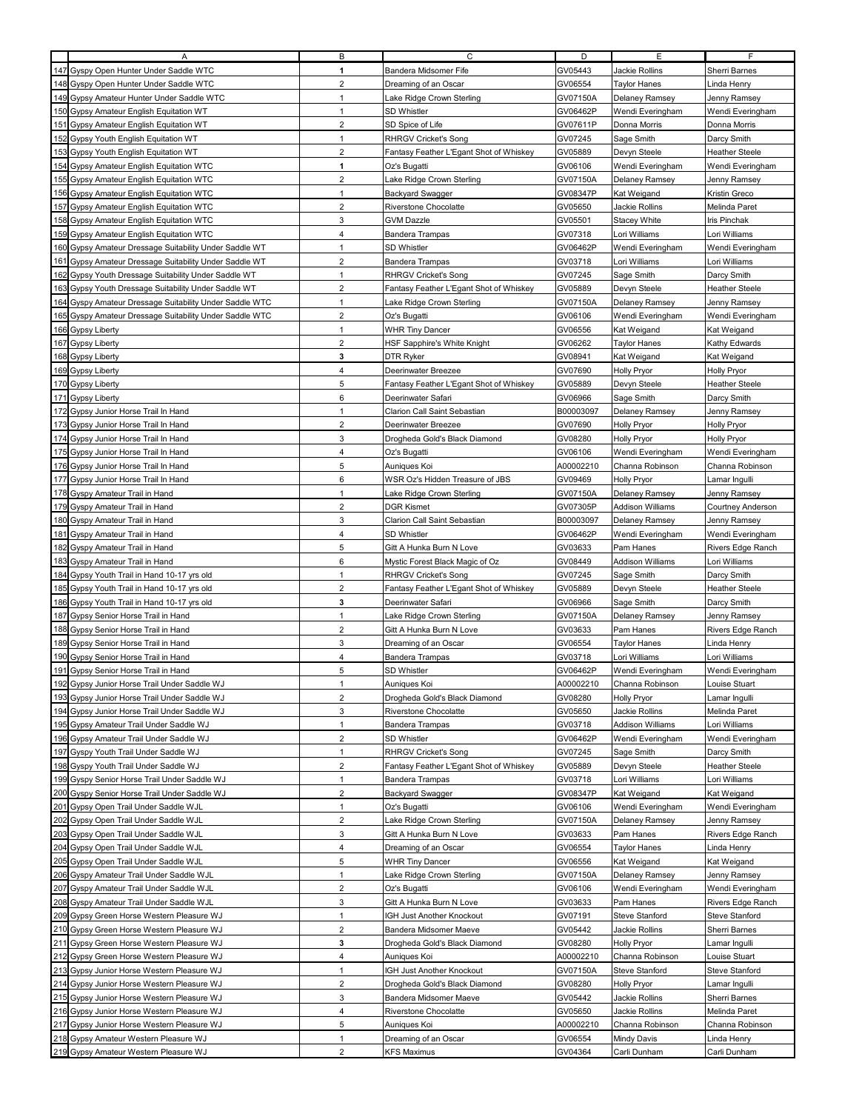|     | Α                                                                              | В                   | С                                          | D                  | E.                          | F.                          |
|-----|--------------------------------------------------------------------------------|---------------------|--------------------------------------------|--------------------|-----------------------------|-----------------------------|
|     | 147 Gyspy Open Hunter Under Saddle WTC                                         | 1                   | Bandera Midsomer Fife                      | GV05443            | Jackie Rollins              | Sherri Barnes               |
|     | 148 Gyspy Open Hunter Under Saddle WTC                                         | $\overline{2}$      | Dreaming of an Oscar                       | GV06554            | Taylor Hanes                | Linda Henry                 |
|     | 149 Gypsy Amateur Hunter Under Saddle WTC                                      | $\mathbf{1}$        | Lake Ridge Crown Sterling                  | GV07150A           | Delaney Ramsey              | Jenny Ramsey                |
|     |                                                                                | $\mathbf{1}$        | SD Whistler                                | GV06462P           |                             |                             |
|     | 150 Gypsy Amateur English Equitation WT                                        |                     |                                            |                    | Wendi Everingham            | Wendi Everingham            |
|     | 151 Gypsy Amateur English Equitation WT                                        | $\overline{2}$      | SD Spice of Life                           | GV07611P           | Donna Morris                | Donna Morris                |
|     | 152 Gypsy Youth English Equitation WT                                          | $\mathbf{1}$        | <b>RHRGV Cricket's Song</b>                | GV07245            | Sage Smith                  | Darcy Smith                 |
|     | 153 Gypsy Youth English Equitation WT                                          | $\overline{2}$      | Fantasy Feather L'Egant Shot of Whiskey    | GV05889            | Devyn Steele                | <b>Heather Steele</b>       |
|     | 154 Gypsy Amateur English Equitation WTC                                       | 1                   | Oz's Bugatti                               | GV06106            | Wendi Everingham            | Wendi Everingham            |
|     | 155 Gypsy Amateur English Equitation WTC                                       | $\overline{2}$      | Lake Ridge Crown Sterling                  | GV07150A           | Delaney Ramsey              | Jenny Ramsey                |
|     | 156 Gypsy Amateur English Equitation WTC                                       | $\mathbf{1}$        | <b>Backyard Swagger</b>                    | GV08347P           | Kat Weigand                 | Kristin Greco               |
|     | 157 Gypsy Amateur English Equitation WTC                                       | $\overline{2}$      | Riverstone Chocolatte                      | GV05650            | Jackie Rollins              | Melinda Paret               |
|     | 158 Gypsy Amateur English Equitation WTC                                       | 3                   | <b>GVM Dazzle</b>                          | GV05501            | Stacey White                | <b>Iris Pinchak</b>         |
|     | 159 Gypsy Amateur English Equitation WTC                                       | $\overline{4}$      | <b>Bandera Trampas</b>                     | GV07318            | Lori Williams               | Lori Williams               |
|     | 160 Gypsy Amateur Dressage Suitability Under Saddle WT                         | $\mathbf{1}$        | <b>SD Whistler</b>                         | GV06462P           | Wendi Everingham            | Wendi Everingham            |
|     | 161 Gypsy Amateur Dressage Suitability Under Saddle WT                         | $\overline{2}$      | <b>Bandera Trampas</b>                     | GV03718            | Lori Williams               | Lori Williams               |
|     | 162 Gypsy Youth Dressage Suitability Under Saddle WT                           | $\mathbf{1}$        | <b>RHRGV Cricket's Song</b>                | GV07245            | Sage Smith                  | Darcy Smith                 |
|     | 163 Gypsy Youth Dressage Suitability Under Saddle WT                           | $\overline{2}$      | Fantasy Feather L'Egant Shot of Whiskey    | GV05889            |                             |                             |
|     |                                                                                |                     |                                            |                    | Devyn Steele                | <b>Heather Steele</b>       |
|     | 164 Gyspy Amateur Dressage Suitability Under Saddle WTC                        | $\mathbf{1}$        | Lake Ridge Crown Sterling                  | GV07150A           | Delaney Ramsey              | Jenny Ramsey                |
|     | 165 Gyspy Amateur Dressage Suitability Under Saddle WTC                        | $\overline{2}$      | Oz's Bugatti                               | GV06106            | Wendi Everingham            | Wendi Everingham            |
|     | 166 Gypsy Liberty                                                              | $\mathbf{1}$        | <b>WHR Tiny Dancer</b>                     | GV06556            | Kat Weigand                 | Kat Weigand                 |
|     | 167 Gypsy Liberty                                                              | $\overline{2}$      | HSF Sapphire's White Knight                | GV06262            | <b>Taylor Hanes</b>         | Kathy Edwards               |
|     | 168 Gypsy Liberty                                                              | 3                   | <b>DTR Ryker</b>                           | GV08941            | Kat Weigand                 | Kat Weigand                 |
|     | 169 Gypsy Liberty                                                              | $\overline{4}$      | Deerinwater Breezee                        | GV07690            | <b>Holly Pryor</b>          | <b>Holly Pryor</b>          |
|     | 170 Gypsy Liberty                                                              | $\sqrt{5}$          | Fantasy Feather L'Egant Shot of Whiskey    | GV05889            | Devyn Steele                | <b>Heather Steele</b>       |
|     | 171 Gypsy Liberty                                                              | 6                   | Deerinwater Safari                         | GV06966            | Sage Smith                  | Darcy Smith                 |
|     | 172 Gypsy Junior Horse Trail In Hand                                           | $\mathbf{1}$        | Clarion Call Saint Sebastian               | B00003097          | Delaney Ramsey              | Jenny Ramsey                |
|     | 173 Gypsy Junior Horse Trail In Hand                                           | $\overline{2}$      | Deerinwater Breezee                        | GV07690            | <b>Holly Pryor</b>          | <b>Holly Pryor</b>          |
|     | 174 Gypsy Junior Horse Trail In Hand                                           | 3                   | Drogheda Gold's Black Diamond              | GV08280            | Holly Pryor                 | <b>Holly Pryor</b>          |
|     | 175 Gypsy Junior Horse Trail In Hand                                           | 4                   | Oz's Bugatti                               | GV06106            | Wendi Everingham            | Wendi Everingham            |
|     | 176 Gypsy Junior Horse Trail In Hand                                           | 5                   | Auniques Koi                               | A00002210          | Channa Robinson             | Channa Robinson             |
|     | 177 Gypsy Junior Horse Trail In Hand                                           | 6                   | WSR Oz's Hidden Treasure of JBS            | GV09469            | <b>Holly Pryor</b>          | Lamar Ingulli               |
|     | 178 Gyspy Amateur Trail in Hand                                                | $\mathbf{1}$        | Lake Ridge Crown Sterling                  | GV07150A           | Delaney Ramsey              | Jenny Ramsey                |
|     | 179 Gyspy Amateur Trail in Hand                                                | $\overline{2}$      | <b>DGR Kismet</b>                          | GV07305P           | Addison Williams            | Courtney Anderson           |
|     | 180 Gyspy Amateur Trail in Hand                                                | 3                   | Clarion Call Saint Sebastian               | B00003097          | Delaney Ramsey              | Jenny Ramsey                |
|     | 181 Gyspy Amateur Trail in Hand                                                | $\overline{4}$      | SD Whistler                                | GV06462P           | Wendi Everingham            | Wendi Everingham            |
|     | 182 Gyspy Amateur Trail in Hand                                                | 5                   | Gitt A Hunka Burn N Love                   | GV03633            | Pam Hanes                   | Rivers Edge Ranch           |
| 183 | Gyspy Amateur Trail in Hand                                                    | 6                   | Mystic Forest Black Magic of Oz            | GV08449            | <b>Addison Williams</b>     | Lori Williams               |
|     |                                                                                | $\mathbf{1}$        |                                            | GV07245            |                             |                             |
|     | 184 Gypsy Youth Trail in Hand 10-17 yrs old                                    | $\overline{2}$      | <b>RHRGV Cricket's Song</b>                | GV05889            | Sage Smith                  | Darcy Smith                 |
|     | 185 Gypsy Youth Trail in Hand 10-17 yrs old                                    | 3                   | Fantasy Feather L'Egant Shot of Whiskey    |                    | Devyn Steele                | <b>Heather Steele</b>       |
|     | 186 Gypsy Youth Trail in Hand 10-17 yrs old                                    |                     | Deerinwater Safari                         | GV06966            | Sage Smith                  | Darcy Smith                 |
| 187 | Gypsy Senior Horse Trail in Hand                                               | $\mathbf{1}$        | ake Ridge Crown Sterling                   | GV07150A           | Delaney Ramsey              | Jenny Ramsey                |
|     | 188 Gypsy Senior Horse Trail in Hand                                           | $\overline{2}$      | Gitt A Hunka Burn N Love                   | GV03633            | Pam Hanes                   | Rivers Edge Ranch           |
|     | 189 Gypsy Senior Horse Trail in Hand                                           | 3                   | Dreaming of an Oscar                       | GV06554            | Taylor Hanes                | Linda Henry                 |
|     | 190 Gypsy Senior Horse Trail in Hand                                           | $\overline{4}$      | <b>Bandera Trampas</b>                     | GV03718            | Lori Williams               | Lori Williams               |
| 191 | Gypsy Senior Horse Trail in Hand                                               | 5                   | SD Whistler                                | GV06462P           | Wendi Everingham            | Wendi Everingham            |
|     | 192 Gypsy Junior Horse Trail Under Saddle WJ                                   |                     | Auniques Koi                               | A00002210          | Channa Robinson             | Louise Stuart               |
|     | 193 Gypsy Junior Horse Trail Under Saddle WJ                                   | 2                   | Drogheda Gold's Black Diamond              | GV08280            | Holly Pryor                 | Lamar Ingulli               |
|     | 194 Gypsy Junior Horse Trail Under Saddle WJ                                   | 3                   | Riverstone Chocolatte                      | GV05650            | Jackie Rollins              | Melinda Paret               |
|     | 195 Gypsy Amateur Trail Under Saddle WJ                                        | $\mathbf{1}$        | <b>Bandera Trampas</b>                     | GV03718            | <b>Addison Williams</b>     | Lori Williams               |
|     | 196 Gypsy Amateur Trail Under Saddle WJ                                        | $\overline{2}$      | SD Whistler                                | GV06462P           | Wendi Everingham            | Wendi Everingham            |
|     | 197 Gyspy Youth Trail Under Saddle WJ                                          | $\mathbf{1}$        | <b>RHRGV Cricket's Song</b>                | GV07245            | Sage Smith                  | Darcy Smith                 |
|     | 198 Gyspy Youth Trail Under Saddle WJ                                          | $\overline{2}$      | Fantasy Feather L'Egant Shot of Whiskey    | GV05889            | Devyn Steele                | <b>Heather Steele</b>       |
|     | 199 Gyspy Senior Horse Trail Under Saddle WJ                                   | $\mathbf{1}$        | <b>Bandera Trampas</b>                     | GV03718            | Lori Williams               | Lori Williams               |
|     | 200 Gyspy Senior Horse Trail Under Saddle WJ                                   | $\overline{2}$      | <b>Backyard Swagger</b>                    | GV08347P           | Kat Weigand                 | Kat Weigand                 |
|     |                                                                                | $\mathbf{1}$        |                                            |                    | Wendi Everingham            | Wendi Everingham            |
|     | 201 Gypsy Open Trail Under Saddle WJL                                          |                     | Oz's Bugatti                               | GV06106            |                             |                             |
|     | 202 Gypsy Open Trail Under Saddle WJL                                          | 2                   | Lake Ridge Crown Sterling                  | GV07150A           | Delaney Ramsey              | Jenny Ramsey                |
|     | 203 Gypsy Open Trail Under Saddle WJL                                          | 3                   | Gitt A Hunka Burn N Love                   | GV03633            | Pam Hanes                   | Rivers Edge Ranch           |
|     | 204 Gypsy Open Trail Under Saddle WJL                                          | 4                   | Dreaming of an Oscar                       | GV06554            | <b>Taylor Hanes</b>         | Linda Henry                 |
|     | 205 Gypsy Open Trail Under Saddle WJL                                          | 5                   | <b>WHR Tiny Dancer</b>                     | GV06556            | Kat Weigand                 | Kat Weigand                 |
|     | 206 Gyspy Amateur Trail Under Saddle WJL                                       | $\mathbf{1}$        | Lake Ridge Crown Sterling                  | GV07150A           | Delaney Ramsey              | Jenny Ramsey                |
|     | 207 Gyspy Amateur Trail Under Saddle WJL                                       | $\overline{2}$      | Oz's Bugatti                               | GV06106            | Wendi Everingham            | Wendi Everingham            |
| 208 | Gyspy Amateur Trail Under Saddle WJL                                           | 3                   | Gitt A Hunka Burn N Love                   | GV03633            | Pam Hanes                   | Rivers Edge Ranch           |
|     | 209 Gypsy Green Horse Western Pleasure WJ                                      | $\mathbf{1}$        | IGH Just Another Knockout                  | GV07191            | Steve Stanford              | Steve Stanford              |
|     |                                                                                | 2                   |                                            | GV05442            |                             |                             |
|     | 210 Gypsy Green Horse Western Pleasure WJ                                      |                     | Bandera Midsomer Maeve                     |                    | Jackie Rollins              | Sherri Barnes               |
| 211 | Gypsy Green Horse Western Pleasure WJ                                          | 3                   | Drogheda Gold's Black Diamond              | GV08280            | Holly Pryor                 | Lamar Ingulli               |
|     | 212 Gypsy Green Horse Western Pleasure WJ                                      | 4                   | Auniques Koi                               | A00002210          | Channa Robinson             | Louise Stuart               |
|     | 213 Gypsy Junior Horse Western Pleasure WJ                                     | 1                   | IGH Just Another Knockout                  | GV07150A           | Steve Stanford              | Steve Stanford              |
|     | 214 Gypsy Junior Horse Western Pleasure WJ                                     | $\overline{2}$      | Drogheda Gold's Black Diamond              | GV08280            | Holly Pryor                 | Lamar Ingulli               |
|     | 215 Gypsy Junior Horse Western Pleasure WJ                                     | 3                   | Bandera Midsomer Maeve                     | GV05442            | Jackie Rollins              | Sherri Barnes               |
| 216 | Gypsy Junior Horse Western Pleasure WJ                                         | 4                   | Riverstone Chocolatte                      | GV05650            | Jackie Rollins              | Melinda Paret               |
|     | 217 Gypsy Junior Horse Western Pleasure WJ                                     | 5                   | Auniques Koi                               | A00002210          | Channa Robinson             | Channa Robinson             |
|     | 218 Gypsy Amateur Western Pleasure WJ<br>219 Gypsy Amateur Western Pleasure WJ | 1<br>$\overline{2}$ | Dreaming of an Oscar<br><b>KFS Maximus</b> | GV06554<br>GV04364 | Mindy Davis<br>Carli Dunham | Linda Henry<br>Carli Dunham |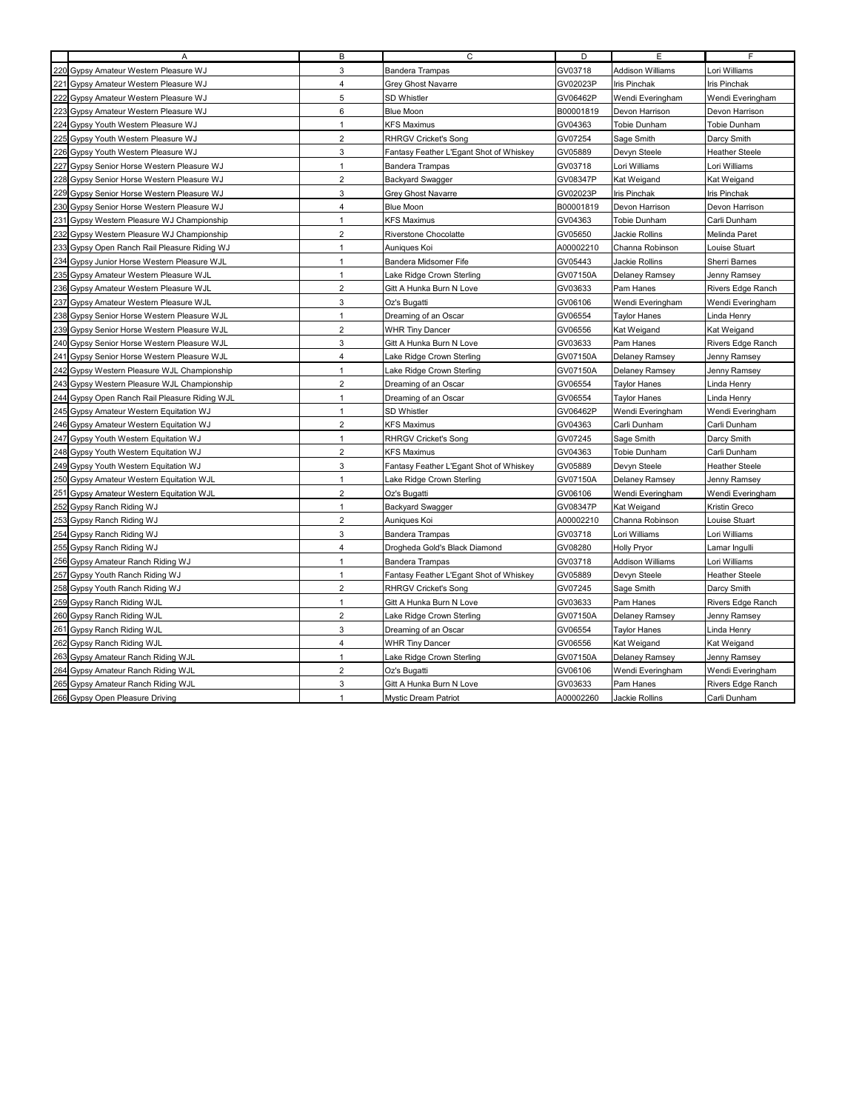|                 | $\overline{A}$                               | В              | C                                       | D         | E                       | F.                    |
|-----------------|----------------------------------------------|----------------|-----------------------------------------|-----------|-------------------------|-----------------------|
|                 | 220 Gypsy Amateur Western Pleasure WJ        | 3              | <b>Bandera Trampas</b>                  | GV03718   | <b>Addison Williams</b> | Lori Williams         |
| $22^{\circ}$    | Gypsy Amateur Western Pleasure WJ            | $\overline{4}$ | Grey Ghost Navarre                      | GV02023P  | Iris Pinchak            | Iris Pinchak          |
|                 | Gypsy Amateur Western Pleasure WJ            | 5              | SD Whistler                             | GV06462P  | Wendi Everingham        | Wendi Everingham      |
| 22              | Gypsy Amateur Western Pleasure WJ            | 6              | <b>Blue Moon</b>                        | B00001819 | Devon Harrison          | Devon Harrison        |
| 224             | Gypsy Youth Western Pleasure WJ              | $\mathbf{1}$   | <b>KFS Maximus</b>                      | GV04363   | Tobie Dunham            | Tobie Dunham          |
|                 | 225 Gypsy Youth Western Pleasure WJ          | $\overline{2}$ | <b>RHRGV Cricket's Song</b>             | GV07254   | Sage Smith              | Darcy Smith           |
| 226             | Gypsy Youth Western Pleasure WJ              | 3              | Fantasy Feather L'Egant Shot of Whiskey | GV05889   | Devyn Steele            | <b>Heather Steele</b> |
| 227             | Gypsy Senior Horse Western Pleasure WJ       | $\mathbf{1}$   | <b>Bandera Trampas</b>                  | GV03718   | Lori Williams           | Lori Williams         |
| 228             | Gypsy Senior Horse Western Pleasure WJ       | $\overline{2}$ | <b>Backyard Swagger</b>                 | GV08347P  | Kat Weigand             | Kat Weigand           |
| 229             | Gypsy Senior Horse Western Pleasure WJ       | 3              | Grey Ghost Navarre                      | GV02023P  | Iris Pinchak            | <b>Iris Pinchak</b>   |
| 23              | Gypsy Senior Horse Western Pleasure WJ       | $\overline{4}$ | <b>Blue Moon</b>                        | B00001819 | Devon Harrison          | Devon Harrison        |
| 23 <sup>2</sup> | Gypsy Western Pleasure WJ Championship       | $\mathbf{1}$   | <b>KFS Maximus</b>                      | GV04363   | Tobie Dunham            | Carli Dunham          |
| 232             | Gypsy Western Pleasure WJ Championship       | $\overline{2}$ | Riverstone Chocolatte                   | GV05650   | Jackie Rollins          | Melinda Paret         |
|                 | 233 Gypsy Open Ranch Rail Pleasure Riding WJ | $\mathbf{1}$   | Auniques Koi                            | A00002210 | Channa Robinson         | Louise Stuart         |
| 234             | Gypsy Junior Horse Western Pleasure WJL      | $\mathbf{1}$   | Bandera Midsomer Fife                   | GV05443   | Jackie Rollins          | Sherri Barnes         |
|                 | 235 Gypsy Amateur Western Pleasure WJL       | $\mathbf{1}$   | Lake Ridge Crown Sterling               | GV07150A  | Delaney Ramsey          | Jenny Ramsey          |
|                 | 236 Gypsy Amateur Western Pleasure WJL       | $\overline{2}$ | Gitt A Hunka Burn N Love                | GV03633   | Pam Hanes               | Rivers Edge Ranch     |
| 23              | Gypsy Amateur Western Pleasure WJL           | 3              | Oz's Bugatti                            | GV06106   | Wendi Everingham        | Wendi Everingham      |
| 23              | Gypsy Senior Horse Western Pleasure WJL      | $\mathbf{1}$   | Dreaming of an Oscar                    | GV06554   | <b>Tavlor Hanes</b>     | Linda Henry           |
| 23              | Gypsy Senior Horse Western Pleasure WJL      | $\overline{2}$ | <b>WHR Tiny Dancer</b>                  | GV06556   | Kat Weigand             | Kat Weigand           |
|                 | 240 Gypsy Senior Horse Western Pleasure WJL  | 3              | Gitt A Hunka Burn N Love                | GV03633   | Pam Hanes               | Rivers Edge Ranch     |
|                 | 241 Gypsy Senior Horse Western Pleasure WJL  | $\overline{4}$ | ake Ridge Crown Sterling.               | GV07150A  | Delaney Ramsey          | Jenny Ramsey          |
|                 | 242 Gypsy Western Pleasure WJL Championship  | $\mathbf{1}$   | Lake Ridge Crown Sterling               | GV07150A  | Delaney Ramsey          | Jenny Ramsey          |
|                 | 243 Gypsy Western Pleasure WJL Championship  | $\overline{2}$ | Dreaming of an Oscar                    | GV06554   | Taylor Hanes            | Linda Henry           |
| 244             | Gypsy Open Ranch Rail Pleasure Riding WJL    | $\mathbf{1}$   | Dreaming of an Oscar                    | GV06554   | <b>Taylor Hanes</b>     | Linda Henry           |
| 245             | Gypsy Amateur Western Equitation WJ          | $\mathbf{1}$   | SD Whistler                             | GV06462P  | Wendi Everingham        | Wendi Everingham      |
| 240             | Gypsy Amateur Western Equitation WJ          | $\overline{2}$ | <b>KFS Maximus</b>                      | GV04363   | Carli Dunham            | Carli Dunham          |
| 247             | Gypsy Youth Western Equitation WJ            | $\mathbf{1}$   | <b>RHRGV Cricket's Song</b>             | GV07245   | Sage Smith              | Darcy Smith           |
| 248             | Gypsy Youth Western Equitation WJ            | $\overline{2}$ | <b>KFS Maximus</b>                      | GV04363   | Tobie Dunham            | Carli Dunham          |
|                 | 249 Gypsy Youth Western Equitation WJ        | 3              | Fantasy Feather L'Egant Shot of Whiskey | GV05889   | Devyn Steele            | <b>Heather Steele</b> |
|                 | 250 Gypsy Amateur Western Equitation WJL     | $\mathbf{1}$   | Lake Ridge Crown Sterling               | GV07150A  | Delaney Ramsey          | Jenny Ramsey          |
| 25 <sup>′</sup> | Gypsy Amateur Western Equitation WJL         | $\overline{2}$ | Oz's Bugatti                            | GV06106   | Wendi Everingham        | Wendi Everingham      |
| 252             | Gypsy Ranch Riding WJ                        | $\mathbf{1}$   | <b>Backyard Swagger</b>                 | GV08347P  | Kat Weigand             | Kristin Greco         |
|                 | Gypsy Ranch Riding WJ                        | $\overline{2}$ | Auniques Koi                            | A00002210 | Channa Robinson         | ouise Stuart          |
| 254             | Gypsy Ranch Riding WJ                        | 3              | <b>Bandera Trampas</b>                  | GV03718   | Lori Williams           | Lori Williams         |
| 25              | Gypsy Ranch Riding WJ                        | $\overline{4}$ | Drogheda Gold's Black Diamond           | GV08280   | <b>Holly Pryor</b>      | Lamar Ingulli         |
|                 | 256 Gypsy Amateur Ranch Riding WJ            | $\mathbf{1}$   | <b>Bandera Trampas</b>                  | GV03718   | <b>Addison Williams</b> | Lori Williams         |
|                 | 257 Gypsy Youth Ranch Riding WJ              | $\mathbf{1}$   | Fantasy Feather L'Egant Shot of Whiskey | GV05889   | Devyn Steele            | <b>Heather Steele</b> |
|                 | 258 Gypsy Youth Ranch Riding WJ              | $\overline{c}$ | <b>RHRGV Cricket's Song</b>             | GV07245   | Sage Smith              | Darcy Smith           |
|                 | 259 Gypsy Ranch Riding WJL                   | $\mathbf{1}$   | Gitt A Hunka Burn N Love                | GV03633   | Pam Hanes               | Rivers Edge Ranch     |
|                 | 260 Gypsy Ranch Riding WJL                   | $\overline{2}$ | Lake Ridge Crown Sterling               | GV07150A  | Delaney Ramsey          | Jenny Ramsey          |
| 261             | <b>Gypsy Ranch Riding WJL</b>                | 3              | Dreaming of an Oscar                    | GV06554   | Taylor Hanes            | Linda Henry           |
| 262             | Gypsy Ranch Riding WJL                       | $\overline{4}$ | <b>WHR Tiny Dancer</b>                  | GV06556   | Kat Weigand             | Kat Weigand           |
| 263             | Gypsy Amateur Ranch Riding WJL               | $\mathbf{1}$   | Lake Ridge Crown Sterling               | GV07150A  | Delaney Ramsey          | Jenny Ramsey          |
| 264             | Gypsy Amateur Ranch Riding WJL               | $\overline{2}$ | Oz's Bugatti                            | GV06106   | Wendi Everingham        | Wendi Everingham      |
|                 | 265 Gypsy Amateur Ranch Riding WJL           | 3              | Gitt A Hunka Burn N Love                | GV03633   | Pam Hanes               | Rivers Edge Ranch     |
|                 | 266 Gypsy Open Pleasure Driving              | 1              | <b>Mystic Dream Patriot</b>             | A00002260 | Jackie Rollins          | Carli Dunham          |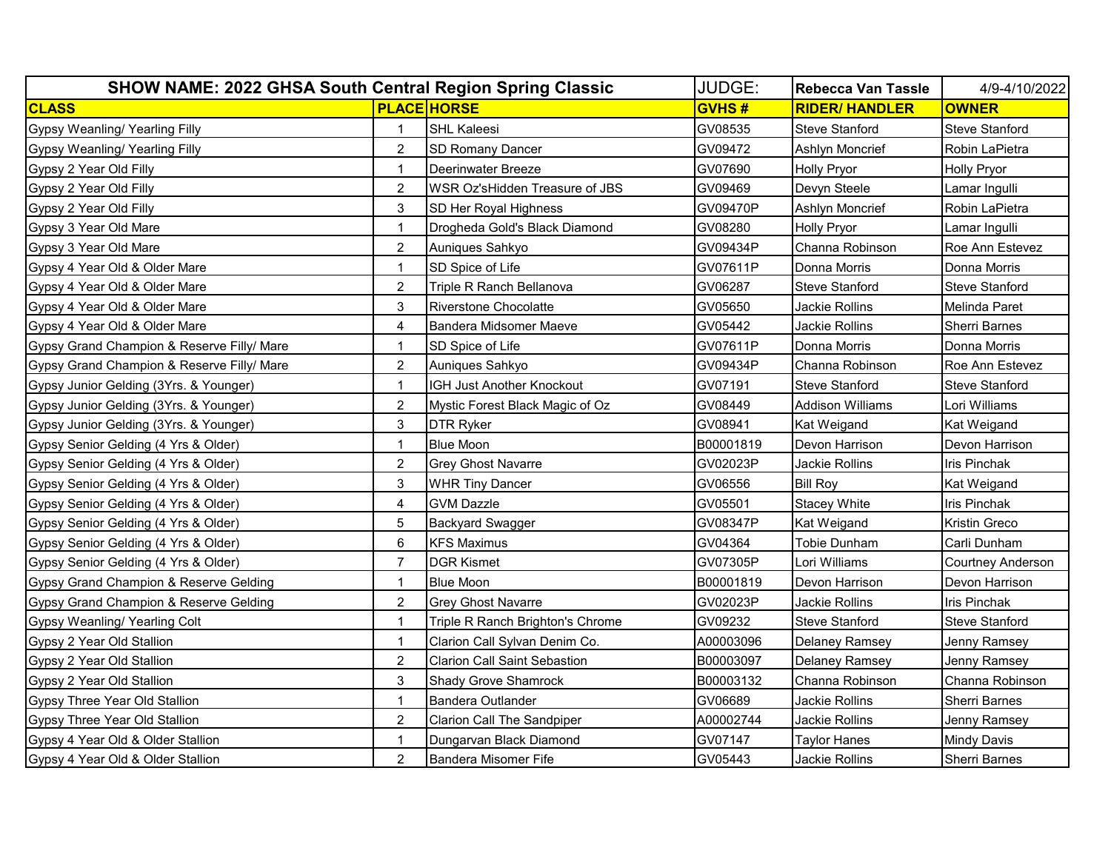| <b>SHOW NAME: 2022 GHSA South Central Region Spring Classic</b> |                |                                     | JUDGE:       | <b>Rebecca Van Tassle</b> | 4/9-4/10/2022         |
|-----------------------------------------------------------------|----------------|-------------------------------------|--------------|---------------------------|-----------------------|
| <b>CLASS</b>                                                    |                | <b>PLACE HORSE</b>                  | <b>GVHS#</b> | <b>RIDER/ HANDLER</b>     | <b>OWNER</b>          |
| <b>Gypsy Weanling/ Yearling Filly</b>                           |                | <b>SHL Kaleesi</b>                  | GV08535      | <b>Steve Stanford</b>     | <b>Steve Stanford</b> |
| Gypsy Weanling/ Yearling Filly                                  | $\overline{2}$ | <b>SD Romany Dancer</b>             | GV09472      | Ashlyn Moncrief           | Robin LaPietra        |
| Gypsy 2 Year Old Filly                                          |                | Deerinwater Breeze                  | GV07690      | Holly Pryor               | <b>Holly Pryor</b>    |
| Gypsy 2 Year Old Filly                                          | $\overline{2}$ | WSR Oz'sHidden Treasure of JBS      | GV09469      | Devyn Steele              | Lamar Ingulli         |
| Gypsy 2 Year Old Filly                                          | 3              | SD Her Royal Highness               | GV09470P     | Ashlvn Moncrief           | Robin LaPietra        |
| Gypsy 3 Year Old Mare                                           |                | Drogheda Gold's Black Diamond       | GV08280      | <b>Holly Pryor</b>        | Lamar Ingulli         |
| Gypsy 3 Year Old Mare                                           | $\overline{2}$ | Auniques Sahkyo                     | GV09434P     | Channa Robinson           | Roe Ann Estevez       |
| Gypsy 4 Year Old & Older Mare                                   | 1              | SD Spice of Life                    | GV07611P     | Donna Morris              | Donna Morris          |
| Gypsy 4 Year Old & Older Mare                                   | $\overline{2}$ | Triple R Ranch Bellanova            | GV06287      | <b>Steve Stanford</b>     | <b>Steve Stanford</b> |
| Gypsy 4 Year Old & Older Mare                                   | 3              | <b>Riverstone Chocolatte</b>        | GV05650      | Jackie Rollins            | Melinda Paret         |
| Gypsy 4 Year Old & Older Mare                                   | $\overline{4}$ | Bandera Midsomer Maeve              | GV05442      | Jackie Rollins            | <b>Sherri Barnes</b>  |
| Gypsy Grand Champion & Reserve Filly/ Mare                      | 1              | SD Spice of Life                    | GV07611P     | Donna Morris              | Donna Morris          |
| Gypsy Grand Champion & Reserve Filly/ Mare                      | $\overline{c}$ | Auniques Sahkyo                     | GV09434P     | Channa Robinson           | Roe Ann Estevez       |
| Gypsy Junior Gelding (3Yrs. & Younger)                          | 1              | IGH Just Another Knockout           | GV07191      | <b>Steve Stanford</b>     | <b>Steve Stanford</b> |
| Gypsy Junior Gelding (3Yrs. & Younger)                          | $\overline{2}$ | Mystic Forest Black Magic of Oz     | GV08449      | <b>Addison Williams</b>   | Lori Williams         |
| Gypsy Junior Gelding (3Yrs. & Younger)                          | 3              | <b>DTR Ryker</b>                    | GV08941      | Kat Weigand               | Kat Weigand           |
| Gypsy Senior Gelding (4 Yrs & Older)                            |                | <b>Blue Moon</b>                    | B00001819    | Devon Harrison            | Devon Harrison        |
| Gypsy Senior Gelding (4 Yrs & Older)                            | $\overline{2}$ | <b>Grey Ghost Navarre</b>           | GV02023P     | Jackie Rollins            | Iris Pinchak          |
| Gypsy Senior Gelding (4 Yrs & Older)                            | 3              | <b>WHR Tiny Dancer</b>              | GV06556      | <b>Bill Roy</b>           | Kat Weigand           |
| Gypsy Senior Gelding (4 Yrs & Older)                            | 4              | GVM Dazzle                          | GV05501      | <b>Stacey White</b>       | Iris Pinchak          |
| Gypsy Senior Gelding (4 Yrs & Older)                            | 5              | <b>Backyard Swagger</b>             | GV08347P     | Kat Weigand               | Kristin Greco         |
| Gypsy Senior Gelding (4 Yrs & Older)                            | 6              | <b>KFS Maximus</b>                  | GV04364      | <b>Tobie Dunham</b>       | Carli Dunham          |
| Gypsy Senior Gelding (4 Yrs & Older)                            | $\overline{7}$ | <b>DGR Kismet</b>                   | GV07305P     | Lori Williams             | Courtney Anderson     |
| Gypsy Grand Champion & Reserve Gelding                          | 1              | <b>Blue Moon</b>                    | B00001819    | Devon Harrison            | Devon Harrison        |
| Gypsy Grand Champion & Reserve Gelding                          | $\overline{2}$ | <b>Grey Ghost Navarre</b>           | GV02023P     | Jackie Rollins            | Iris Pinchak          |
| Gypsy Weanling/ Yearling Colt                                   | 1              | Triple R Ranch Brighton's Chrome    | GV09232      | <b>Steve Stanford</b>     | Steve Stanford        |
| Gypsy 2 Year Old Stallion                                       | 1              | Clarion Call Sylvan Denim Co.       | A00003096    | Delaney Ramsey            | Jenny Ramsey          |
| Gypsy 2 Year Old Stallion                                       | 2              | <b>Clarion Call Saint Sebastion</b> | B00003097    | Delaney Ramsey            | Jenny Ramsey          |
| Gypsy 2 Year Old Stallion                                       | 3              | <b>Shady Grove Shamrock</b>         | B00003132    | Channa Robinson           | Channa Robinson       |
| Gypsy Three Year Old Stallion                                   | 1              | Bandera Outlander                   | GV06689      | Jackie Rollins            | <b>Sherri Barnes</b>  |
| Gypsy Three Year Old Stallion                                   | $\overline{2}$ | <b>Clarion Call The Sandpiper</b>   | A00002744    | Jackie Rollins            | Jenny Ramsey          |
| Gypsy 4 Year Old & Older Stallion                               |                | Dungarvan Black Diamond             | GV07147      | <b>Taylor Hanes</b>       | <b>Mindy Davis</b>    |
| Gypsy 4 Year Old & Older Stallion                               | $\overline{2}$ | <b>Bandera Misomer Fife</b>         | GV05443      | Jackie Rollins            | Sherri Barnes         |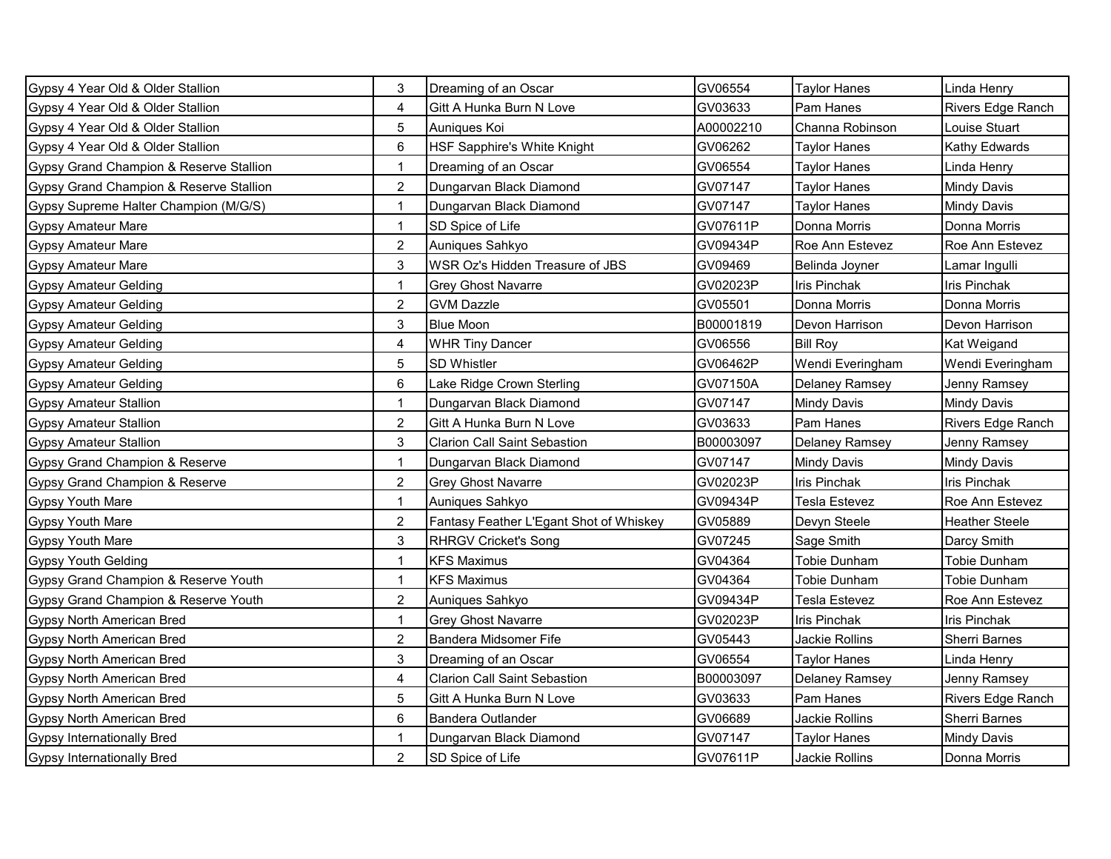| Gypsy 4 Year Old & Older Stallion       | 3              | Dreaming of an Oscar                    | GV06554   | Taylor Hanes          | Linda Henry           |
|-----------------------------------------|----------------|-----------------------------------------|-----------|-----------------------|-----------------------|
| Gypsy 4 Year Old & Older Stallion       | 4              | Gitt A Hunka Burn N Love                | GV03633   | Pam Hanes             | Rivers Edge Ranch     |
| Gypsy 4 Year Old & Older Stallion       | 5              | Auniques Koi                            | A00002210 | Channa Robinson       | Louise Stuart         |
| Gypsy 4 Year Old & Older Stallion       | 6              | HSF Sapphire's White Knight             | GV06262   | Taylor Hanes          | Kathy Edwards         |
| Gypsy Grand Champion & Reserve Stallion | 1              | Dreaming of an Oscar                    | GV06554   | Taylor Hanes          | Linda Henry           |
| Gypsy Grand Champion & Reserve Stallion | 2              | Dungarvan Black Diamond                 | GV07147   | Taylor Hanes          | Mindy Davis           |
| Gypsy Supreme Halter Champion (M/G/S)   | $\mathbf{1}$   | Dungarvan Black Diamond                 | GV07147   | <b>Taylor Hanes</b>   | <b>Mindy Davis</b>    |
| <b>Gypsy Amateur Mare</b>               | 1              | SD Spice of Life                        | GV07611P  | Donna Morris          | Donna Morris          |
| <b>Gypsy Amateur Mare</b>               | 2              | Auniques Sahkyo                         | GV09434P  | Roe Ann Estevez       | Roe Ann Estevez       |
| <b>Gypsy Amateur Mare</b>               | 3              | WSR Oz's Hidden Treasure of JBS         | GV09469   | Belinda Joyner        | Lamar Ingulli         |
| <b>Gypsy Amateur Gelding</b>            | 1              | <b>Grey Ghost Navarre</b>               | GV02023P  | <b>Iris Pinchak</b>   | <b>Iris Pinchak</b>   |
| <b>Gypsy Amateur Gelding</b>            | $\overline{a}$ | <b>GVM Dazzle</b>                       | GV05501   | Donna Morris          | Donna Morris          |
| <b>Gypsy Amateur Gelding</b>            | 3              | <b>Blue Moon</b>                        | B00001819 | Devon Harrison        | Devon Harrison        |
| <b>Gypsy Amateur Gelding</b>            | 4              | <b>WHR Tiny Dancer</b>                  | GV06556   | <b>Bill Roy</b>       | Kat Weigand           |
| <b>Gypsy Amateur Gelding</b>            | 5              | SD Whistler                             | GV06462P  | Wendi Everingham      | Wendi Everingham      |
| <b>Gypsy Amateur Gelding</b>            | 6              | Lake Ridge Crown Sterling               | GV07150A  | <b>Delaney Ramsey</b> | Jenny Ramsey          |
| <b>Gypsy Amateur Stallion</b>           | $\mathbf 1$    | Dungarvan Black Diamond                 | GV07147   | <b>Mindy Davis</b>    | <b>Mindy Davis</b>    |
| <b>Gypsy Amateur Stallion</b>           | $\overline{a}$ | Gitt A Hunka Burn N Love                | GV03633   | Pam Hanes             | Rivers Edge Ranch     |
| <b>Gypsy Amateur Stallion</b>           | 3              | <b>Clarion Call Saint Sebastion</b>     | B00003097 | <b>Delaney Ramsey</b> | Jenny Ramsey          |
| Gypsy Grand Champion & Reserve          |                | Dungarvan Black Diamond                 | GV07147   | <b>Mindy Davis</b>    | <b>Mindy Davis</b>    |
| Gypsy Grand Champion & Reserve          | $\overline{2}$ | <b>Grey Ghost Navarre</b>               | GV02023P  | <b>Iris Pinchak</b>   | Iris Pinchak          |
| Gypsy Youth Mare                        | 1              | Auniques Sahkyo                         | GV09434P  | Tesla Estevez         | Roe Ann Estevez       |
| Gypsy Youth Mare                        | $\overline{c}$ | Fantasy Feather L'Egant Shot of Whiskey | GV05889   | Devyn Steele          | <b>Heather Steele</b> |
| <b>Gypsy Youth Mare</b>                 | 3              | <b>RHRGV Cricket's Song</b>             | GV07245   | Sage Smith            | Darcy Smith           |
| <b>Gypsy Youth Gelding</b>              | $\mathbf 1$    | <b>KFS Maximus</b>                      | GV04364   | Tobie Dunham          | Tobie Dunham          |
| Gypsy Grand Champion & Reserve Youth    | $\mathbf{1}$   | <b>KFS Maximus</b>                      | GV04364   | Tobie Dunham          | Tobie Dunham          |
| Gypsy Grand Champion & Reserve Youth    | $\overline{2}$ | Auniques Sahkyo                         | GV09434P  | Tesla Estevez         | Roe Ann Estevez       |
| Gypsy North American Bred               | $\mathbf{1}$   | <b>Grey Ghost Navarre</b>               | GV02023P  | <b>Iris Pinchak</b>   | <b>Iris Pinchak</b>   |
| <b>Gypsy North American Bred</b>        | $\overline{2}$ | Bandera Midsomer Fife                   | GV05443   | Jackie Rollins        | Sherri Barnes         |
| <b>Gypsy North American Bred</b>        | 3              | Dreaming of an Oscar                    | GV06554   | Taylor Hanes          | Linda Henry           |
| Gypsy North American Bred               | 4              | <b>Clarion Call Saint Sebastion</b>     | B00003097 | <b>Delaney Ramsey</b> | Jenny Ramsey          |
| <b>Gypsy North American Bred</b>        | 5              | Gitt A Hunka Burn N Love                | GV03633   | Pam Hanes             | Rivers Edge Ranch     |
| Gypsy North American Bred               | 6              | <b>Bandera Outlander</b>                | GV06689   | Jackie Rollins        | Sherri Barnes         |
| <b>Gypsy Internationally Bred</b>       |                | Dungarvan Black Diamond                 | GV07147   | Taylor Hanes          | Mindy Davis           |
| <b>Gypsy Internationally Bred</b>       | $\overline{2}$ | SD Spice of Life                        | GV07611P  | Jackie Rollins        | Donna Morris          |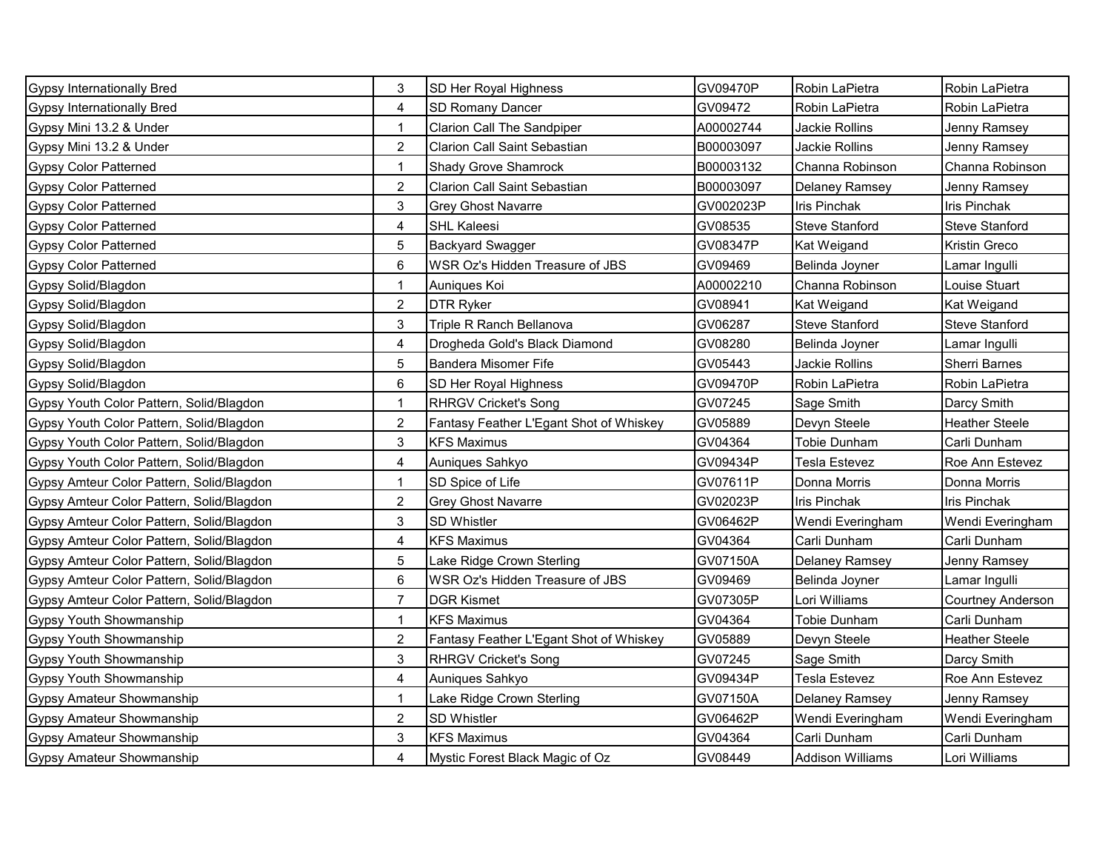| <b>Gypsy Internationally Bred</b>         | 3              | SD Her Royal Highness                   | GV09470P  | Robin LaPietra          | Robin LaPietra        |
|-------------------------------------------|----------------|-----------------------------------------|-----------|-------------------------|-----------------------|
| <b>Gypsy Internationally Bred</b>         | 4              | <b>SD Romany Dancer</b>                 | GV09472   | Robin LaPietra          | Robin LaPietra        |
| Gypsy Mini 13.2 & Under                   | 1              | <b>Clarion Call The Sandpiper</b>       | A00002744 | Jackie Rollins          | Jenny Ramsey          |
| Gypsy Mini 13.2 & Under                   | $\overline{2}$ | Clarion Call Saint Sebastian            | B00003097 | Jackie Rollins          | Jenny Ramsey          |
| <b>Gypsy Color Patterned</b>              |                | Shady Grove Shamrock                    | B00003132 | Channa Robinson         | Channa Robinson       |
| <b>Gypsy Color Patterned</b>              | $\overline{2}$ | <b>Clarion Call Saint Sebastian</b>     | B00003097 | Delaney Ramsey          | Jenny Ramsey          |
| <b>Gypsy Color Patterned</b>              | 3              | <b>Grey Ghost Navarre</b>               | GV002023P | Iris Pinchak            | <b>Iris Pinchak</b>   |
| <b>Gypsy Color Patterned</b>              | 4              | <b>SHL Kaleesi</b>                      | GV08535   | Steve Stanford          | Steve Stanford        |
| <b>Gypsy Color Patterned</b>              | 5              | <b>Backyard Swagger</b>                 | GV08347P  | Kat Weigand             | Kristin Greco         |
| <b>Gypsy Color Patterned</b>              | 6              | WSR Oz's Hidden Treasure of JBS         | GV09469   | Belinda Joyner          | Lamar Ingulli         |
| Gypsy Solid/Blagdon                       | 1              | Auniques Koi                            | A00002210 | Channa Robinson         | Louise Stuart         |
| Gypsy Solid/Blagdon                       | $\overline{c}$ | <b>DTR Ryker</b>                        | GV08941   | Kat Weigand             | Kat Weigand           |
| Gypsy Solid/Blagdon                       | 3              | Triple R Ranch Bellanova                | GV06287   | Steve Stanford          | Steve Stanford        |
| Gypsy Solid/Blagdon                       | 4              | Drogheda Gold's Black Diamond           | GV08280   | Belinda Joyner          | Lamar Ingulli         |
| Gypsy Solid/Blagdon                       | 5              | <b>Bandera Misomer Fife</b>             | GV05443   | Jackie Rollins          | Sherri Barnes         |
| Gypsy Solid/Blagdon                       | 6              | SD Her Royal Highness                   | GV09470P  | Robin LaPietra          | Robin LaPietra        |
| Gypsy Youth Color Pattern, Solid/Blagdon  | $\mathbf{1}$   | <b>RHRGV Cricket's Song</b>             | GV07245   | Sage Smith              | Darcy Smith           |
| Gypsy Youth Color Pattern, Solid/Blagdon  | $\overline{a}$ | Fantasy Feather L'Egant Shot of Whiskey | GV05889   | Devyn Steele            | <b>Heather Steele</b> |
| Gypsy Youth Color Pattern, Solid/Blagdon  | 3              | <b>KFS Maximus</b>                      | GV04364   | <b>Tobie Dunham</b>     | Carli Dunham          |
| Gypsy Youth Color Pattern, Solid/Blagdon  | 4              | Auniques Sahkyo                         | GV09434P  | <b>Tesla Estevez</b>    | Roe Ann Estevez       |
| Gypsy Amteur Color Pattern, Solid/Blagdon | $\mathbf{1}$   | SD Spice of Life                        | GV07611P  | Donna Morris            | Donna Morris          |
| Gypsy Amteur Color Pattern, Solid/Blagdon | 2              | Grey Ghost Navarre                      | GV02023P  | Iris Pinchak            | <b>Iris Pinchak</b>   |
| Gypsy Amteur Color Pattern, Solid/Blagdon | 3              | <b>SD Whistler</b>                      | GV06462P  | Wendi Everingham        | Wendi Everingham      |
| Gypsy Amteur Color Pattern, Solid/Blagdon | 4              | <b>KFS Maximus</b>                      | GV04364   | Carli Dunham            | Carli Dunham          |
| Gypsy Amteur Color Pattern, Solid/Blagdon | 5              | Lake Ridge Crown Sterling               | GV07150A  | Delaney Ramsey          | Jenny Ramsey          |
| Gypsy Amteur Color Pattern, Solid/Blagdon | 6              | WSR Oz's Hidden Treasure of JBS         | GV09469   | Belinda Joyner          | Lamar Ingulli         |
| Gypsy Amteur Color Pattern, Solid/Blagdon | 7              | <b>DGR Kismet</b>                       | GV07305P  | Lori Williams           | Courtney Anderson     |
| <b>Gypsy Youth Showmanship</b>            | $\mathbf{1}$   | <b>KFS Maximus</b>                      | GV04364   | Tobie Dunham            | Carli Dunham          |
| Gypsy Youth Showmanship                   | $\overline{2}$ | Fantasy Feather L'Egant Shot of Whiskey | GV05889   | Devyn Steele            | <b>Heather Steele</b> |
| <b>Gypsy Youth Showmanship</b>            | 3              | <b>RHRGV Cricket's Song</b>             | GV07245   | Sage Smith              | Darcy Smith           |
| Gypsy Youth Showmanship                   | 4              | Auniques Sahkyo                         | GV09434P  | <b>Tesla Estevez</b>    | Roe Ann Estevez       |
| <b>Gypsy Amateur Showmanship</b>          | 1              | Lake Ridge Crown Sterling               | GV07150A  | Delaney Ramsey          | Jenny Ramsey          |
| Gypsy Amateur Showmanship                 | $\overline{2}$ | <b>SD Whistler</b>                      | GV06462P  | Wendi Everingham        | Wendi Everingham      |
| Gypsy Amateur Showmanship                 | 3              | <b>KFS Maximus</b>                      | GV04364   | Carli Dunham            | Carli Dunham          |
| <b>Gypsy Amateur Showmanship</b>          | 4              | Mystic Forest Black Magic of Oz         | GV08449   | <b>Addison Williams</b> | Lori Williams         |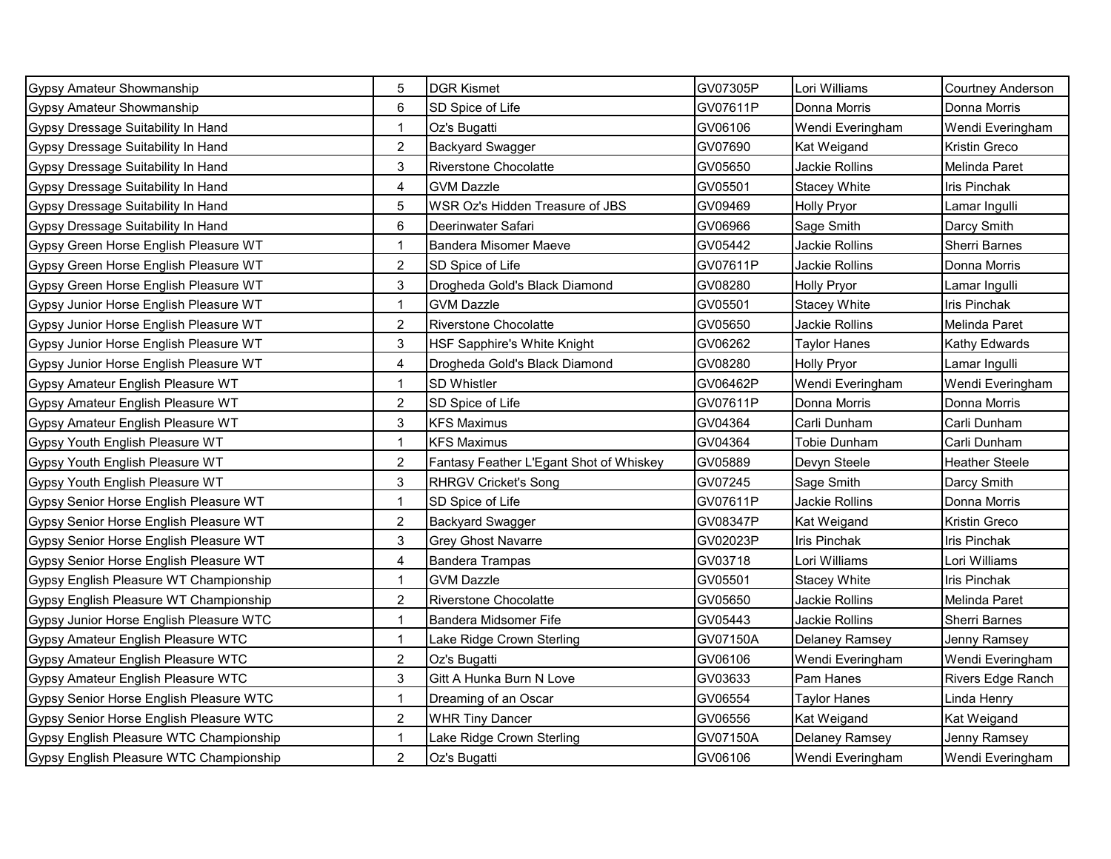| Gypsy Amateur Showmanship               | 5              | <b>DGR Kismet</b>                       | GV07305P | Lori Williams       | Courtney Anderson     |
|-----------------------------------------|----------------|-----------------------------------------|----------|---------------------|-----------------------|
| <b>Gypsy Amateur Showmanship</b>        | 6              | SD Spice of Life                        | GV07611P | Donna Morris        | Donna Morris          |
| Gypsy Dressage Suitability In Hand      | $\mathbf{1}$   | Oz's Bugatti                            | GV06106  | Wendi Everingham    | Wendi Everingham      |
| Gypsy Dressage Suitability In Hand      | $\overline{2}$ | <b>Backyard Swagger</b>                 | GV07690  | Kat Weigand         | Kristin Greco         |
| Gypsy Dressage Suitability In Hand      | 3              | <b>Riverstone Chocolatte</b>            | GV05650  | Jackie Rollins      | Melinda Paret         |
| Gypsy Dressage Suitability In Hand      | 4              | <b>GVM Dazzle</b>                       | GV05501  | <b>Stacey White</b> | Iris Pinchak          |
| Gypsy Dressage Suitability In Hand      | 5              | WSR Oz's Hidden Treasure of JBS         | GV09469  | <b>Holly Pryor</b>  | Lamar Ingulli         |
| Gypsy Dressage Suitability In Hand      | 6              | Deerinwater Safari                      | GV06966  | Sage Smith          | Darcy Smith           |
| Gypsy Green Horse English Pleasure WT   | 1              | <b>Bandera Misomer Maeve</b>            | GV05442  | Jackie Rollins      | Sherri Barnes         |
| Gypsy Green Horse English Pleasure WT   | $\overline{a}$ | SD Spice of Life                        | GV07611P | Jackie Rollins      | Donna Morris          |
| Gypsy Green Horse English Pleasure WT   | 3              | Drogheda Gold's Black Diamond           | GV08280  | <b>Holly Pryor</b>  | Lamar Ingulli         |
| Gypsy Junior Horse English Pleasure WT  | 1              | <b>GVM Dazzle</b>                       | GV05501  | <b>Stacey White</b> | <b>Iris Pinchak</b>   |
| Gypsy Junior Horse English Pleasure WT  | $\overline{2}$ | <b>Riverstone Chocolatte</b>            | GV05650  | Jackie Rollins      | Melinda Paret         |
| Gypsy Junior Horse English Pleasure WT  | 3              | HSF Sapphire's White Knight             | GV06262  | <b>Taylor Hanes</b> | Kathy Edwards         |
| Gypsy Junior Horse English Pleasure WT  | 4              | Drogheda Gold's Black Diamond           | GV08280  | <b>Holly Pryor</b>  | Lamar Ingulli         |
| Gypsy Amateur English Pleasure WT       | 1              | SD Whistler                             | GV06462P | Wendi Everingham    | Wendi Everingham      |
| Gypsy Amateur English Pleasure WT       | $\overline{2}$ | SD Spice of Life                        | GV07611P | Donna Morris        | Donna Morris          |
| Gypsy Amateur English Pleasure WT       | 3              | <b>KFS Maximus</b>                      | GV04364  | Carli Dunham        | Carli Dunham          |
| Gypsy Youth English Pleasure WT         | 1              | <b>KFS Maximus</b>                      | GV04364  | Tobie Dunham        | Carli Dunham          |
| Gypsy Youth English Pleasure WT         | $\overline{c}$ | Fantasy Feather L'Egant Shot of Whiskey | GV05889  | Devyn Steele        | <b>Heather Steele</b> |
| Gypsy Youth English Pleasure WT         | 3              | <b>RHRGV Cricket's Song</b>             | GV07245  | Sage Smith          | Darcy Smith           |
| Gypsy Senior Horse English Pleasure WT  | 1              | SD Spice of Life                        | GV07611P | Jackie Rollins      | Donna Morris          |
| Gypsy Senior Horse English Pleasure WT  | $\overline{c}$ | <b>Backyard Swagger</b>                 | GV08347P | Kat Weigand         | Kristin Greco         |
| Gypsy Senior Horse English Pleasure WT  | 3              | <b>Grey Ghost Navarre</b>               | GV02023P | Iris Pinchak        | <b>Iris Pinchak</b>   |
| Gypsy Senior Horse English Pleasure WT  | 4              | <b>Bandera Trampas</b>                  | GV03718  | Lori Williams       | Lori Williams         |
| Gypsy English Pleasure WT Championship  | $\mathbf{1}$   | <b>GVM Dazzle</b>                       | GV05501  | <b>Stacey White</b> | <b>Iris Pinchak</b>   |
| Gypsy English Pleasure WT Championship  | $\overline{2}$ | <b>Riverstone Chocolatte</b>            | GV05650  | Jackie Rollins      | Melinda Paret         |
| Gypsy Junior Horse English Pleasure WTC | $\mathbf{1}$   | Bandera Midsomer Fife                   | GV05443  | Jackie Rollins      | <b>Sherri Barnes</b>  |
| Gypsy Amateur English Pleasure WTC      | $\mathbf{1}$   | Lake Ridge Crown Sterling               | GV07150A | Delaney Ramsey      | Jenny Ramsey          |
| Gypsy Amateur English Pleasure WTC      | $\overline{c}$ | Oz's Bugatti                            | GV06106  | Wendi Everingham    | Wendi Everingham      |
| Gypsy Amateur English Pleasure WTC      | 3              | Gitt A Hunka Burn N Love                | GV03633  | Pam Hanes           | Rivers Edge Ranch     |
| Gypsy Senior Horse English Pleasure WTC | $\mathbf{1}$   | Dreaming of an Oscar                    | GV06554  | <b>Taylor Hanes</b> | Linda Henry           |
| Gypsy Senior Horse English Pleasure WTC | $\overline{2}$ | <b>WHR Tiny Dancer</b>                  | GV06556  | Kat Weigand         | Kat Weigand           |
| Gypsy English Pleasure WTC Championship |                | Lake Ridge Crown Sterling               | GV07150A | Delaney Ramsey      | Jenny Ramsey          |
| Gypsy English Pleasure WTC Championship | $\overline{2}$ | Oz's Bugatti                            | GV06106  | Wendi Everingham    | Wendi Everingham      |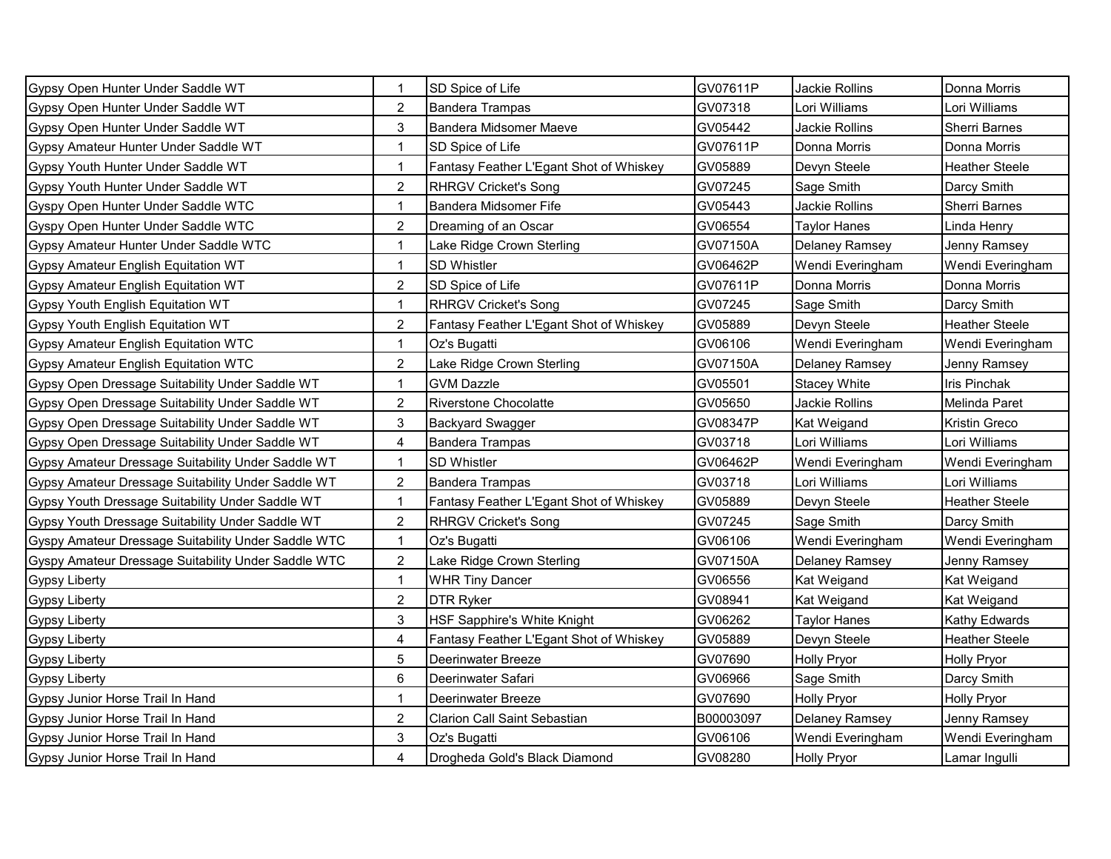| Gypsy Open Hunter Under Saddle WT                   | $\mathbf{1}$   | SD Spice of Life                        | GV07611P  | Jackie Rollins        | Donna Morris          |
|-----------------------------------------------------|----------------|-----------------------------------------|-----------|-----------------------|-----------------------|
| Gypsy Open Hunter Under Saddle WT                   | $\overline{2}$ | <b>Bandera Trampas</b>                  | GV07318   | Lori Williams         | Lori Williams         |
| Gypsy Open Hunter Under Saddle WT                   | 3              | <b>Bandera Midsomer Maeve</b>           | GV05442   | Jackie Rollins        | Sherri Barnes         |
| Gypsy Amateur Hunter Under Saddle WT                | 1              | SD Spice of Life                        | GV07611P  | Donna Morris          | Donna Morris          |
| Gypsy Youth Hunter Under Saddle WT                  | 1              | Fantasy Feather L'Egant Shot of Whiskey | GV05889   | Devyn Steele          | <b>Heather Steele</b> |
| Gypsy Youth Hunter Under Saddle WT                  | $\overline{2}$ | <b>RHRGV Cricket's Song</b>             | GV07245   | Sage Smith            | Darcy Smith           |
| Gyspy Open Hunter Under Saddle WTC                  | 1              | Bandera Midsomer Fife                   | GV05443   | Jackie Rollins        | Sherri Barnes         |
| Gyspy Open Hunter Under Saddle WTC                  | 2              | Dreaming of an Oscar                    | GV06554   | Taylor Hanes          | Linda Henry           |
| Gypsy Amateur Hunter Under Saddle WTC               | 1              | Lake Ridge Crown Sterling               | GV07150A  | Delaney Ramsey        | Jenny Ramsey          |
| Gypsy Amateur English Equitation WT                 | $\mathbf{1}$   | SD Whistler                             | GV06462P  | Wendi Everingham      | Wendi Everingham      |
| Gypsy Amateur English Equitation WT                 | $\overline{a}$ | SD Spice of Life                        | GV07611P  | Donna Morris          | Donna Morris          |
| Gypsy Youth English Equitation WT                   | $\mathbf{1}$   | <b>RHRGV Cricket's Song</b>             | GV07245   | Sage Smith            | Darcy Smith           |
| Gypsy Youth English Equitation WT                   | $\overline{2}$ | Fantasy Feather L'Egant Shot of Whiskey | GV05889   | Devyn Steele          | <b>Heather Steele</b> |
| Gypsy Amateur English Equitation WTC                | 1              | Oz's Bugatti                            | GV06106   | Wendi Everingham      | Wendi Everingham      |
| Gypsy Amateur English Equitation WTC                | 2              | Lake Ridge Crown Sterling               | GV07150A  | <b>Delaney Ramsey</b> | Jenny Ramsey          |
| Gypsy Open Dressage Suitability Under Saddle WT     | 1              | <b>GVM Dazzle</b>                       | GV05501   | <b>Stacey White</b>   | Iris Pinchak          |
| Gypsy Open Dressage Suitability Under Saddle WT     | $\overline{2}$ | <b>Riverstone Chocolatte</b>            | GV05650   | Jackie Rollins        | Melinda Paret         |
| Gypsy Open Dressage Suitability Under Saddle WT     | 3              | <b>Backyard Swagger</b>                 | GV08347P  | Kat Weigand           | Kristin Greco         |
| Gypsy Open Dressage Suitability Under Saddle WT     | 4              | <b>Bandera Trampas</b>                  | GV03718   | Lori Williams         | Lori Williams         |
| Gypsy Amateur Dressage Suitability Under Saddle WT  |                | <b>SD Whistler</b>                      | GV06462P  | Wendi Everingham      | Wendi Everingham      |
| Gypsy Amateur Dressage Suitability Under Saddle WT  | $\overline{c}$ | <b>Bandera Trampas</b>                  | GV03718   | Lori Williams         | Lori Williams         |
| Gypsy Youth Dressage Suitability Under Saddle WT    |                | Fantasy Feather L'Egant Shot of Whiskey | GV05889   | Devyn Steele          | <b>Heather Steele</b> |
| Gypsy Youth Dressage Suitability Under Saddle WT    | $\overline{c}$ | <b>RHRGV Cricket's Song</b>             | GV07245   | Sage Smith            | Darcy Smith           |
| Gyspy Amateur Dressage Suitability Under Saddle WTC | $\mathbf 1$    | Oz's Bugatti                            | GV06106   | Wendi Everingham      | Wendi Everingham      |
| Gyspy Amateur Dressage Suitability Under Saddle WTC | $\overline{a}$ | Lake Ridge Crown Sterling               | GV07150A  | <b>Delaney Ramsey</b> | Jenny Ramsey          |
| <b>Gypsy Liberty</b>                                | $\mathbf{1}$   | <b>WHR Tiny Dancer</b>                  | GV06556   | Kat Weigand           | Kat Weigand           |
| <b>Gypsy Liberty</b>                                | $\overline{2}$ | <b>DTR Ryker</b>                        | GV08941   | Kat Weigand           | Kat Weigand           |
| <b>Gypsy Liberty</b>                                | 3              | HSF Sapphire's White Knight             | GV06262   | <b>Taylor Hanes</b>   | Kathy Edwards         |
| <b>Gypsy Liberty</b>                                | 4              | Fantasy Feather L'Egant Shot of Whiskey | GV05889   | Devyn Steele          | <b>Heather Steele</b> |
| <b>Gypsy Liberty</b>                                | 5              | Deerinwater Breeze                      | GV07690   | <b>Holly Pryor</b>    | <b>Holly Pryor</b>    |
| <b>Gypsy Liberty</b>                                | 6              | Deerinwater Safari                      | GV06966   | Sage Smith            | Darcy Smith           |
| Gypsy Junior Horse Trail In Hand                    | $\mathbf{1}$   | Deerinwater Breeze                      | GV07690   | <b>Holly Pryor</b>    | <b>Holly Pryor</b>    |
| Gypsy Junior Horse Trail In Hand                    | $\overline{2}$ | <b>Clarion Call Saint Sebastian</b>     | B00003097 | Delaney Ramsey        | Jenny Ramsey          |
| Gypsy Junior Horse Trail In Hand                    | 3              | Oz's Bugatti                            | GV06106   | Wendi Everingham      | Wendi Everingham      |
| Gypsy Junior Horse Trail In Hand                    | 4              | Drogheda Gold's Black Diamond           | GV08280   | <b>Holly Pryor</b>    | Lamar Ingulli         |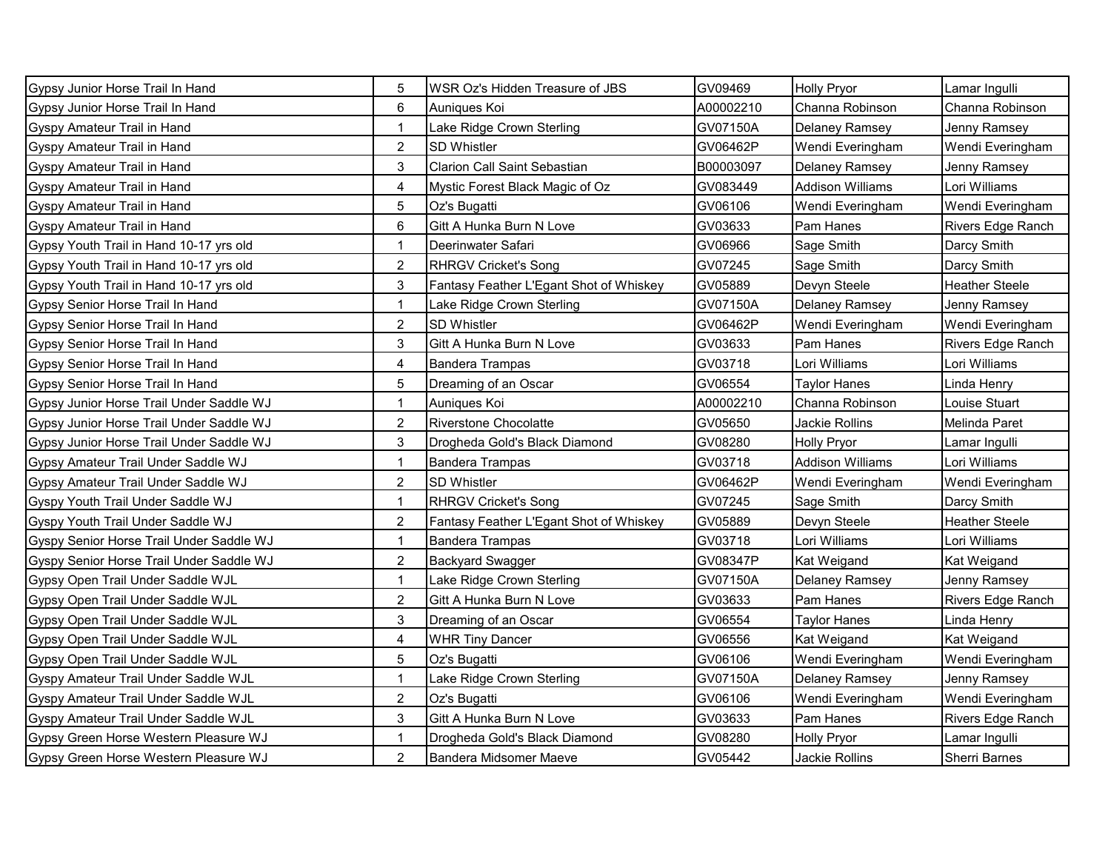| Gypsy Junior Horse Trail In Hand         | 5              | WSR Oz's Hidden Treasure of JBS         | GV09469   | <b>Holly Pryor</b>      | Lamar Inqulli         |
|------------------------------------------|----------------|-----------------------------------------|-----------|-------------------------|-----------------------|
| Gypsy Junior Horse Trail In Hand         | 6              | Auniques Koi                            | A00002210 | Channa Robinson         | Channa Robinson       |
| Gyspy Amateur Trail in Hand              | $\mathbf{1}$   | Lake Ridge Crown Sterling               | GV07150A  | <b>Delaney Ramsey</b>   | Jenny Ramsey          |
| Gyspy Amateur Trail in Hand              | $\overline{2}$ | <b>SD Whistler</b>                      | GV06462P  | Wendi Everingham        | Wendi Everingham      |
| Gyspy Amateur Trail in Hand              | 3              | <b>Clarion Call Saint Sebastian</b>     | B00003097 | Delaney Ramsey          | Jenny Ramsey          |
| Gyspy Amateur Trail in Hand              | 4              | Mystic Forest Black Magic of Oz         | GV083449  | <b>Addison Williams</b> | Lori Williams         |
| Gyspy Amateur Trail in Hand              | 5              | Oz's Bugatti                            | GV06106   | Wendi Everingham        | Wendi Everingham      |
| Gyspy Amateur Trail in Hand              | 6              | Gitt A Hunka Burn N Love                | GV03633   | Pam Hanes               | Rivers Edge Ranch     |
| Gypsy Youth Trail in Hand 10-17 yrs old  | 1              | Deerinwater Safari                      | GV06966   | Sage Smith              | Darcy Smith           |
| Gypsy Youth Trail in Hand 10-17 yrs old  | $\overline{2}$ | <b>RHRGV Cricket's Song</b>             | GV07245   | Sage Smith              | Darcy Smith           |
| Gypsy Youth Trail in Hand 10-17 yrs old  | 3              | Fantasy Feather L'Egant Shot of Whiskey | GV05889   | Devyn Steele            | <b>Heather Steele</b> |
| Gypsy Senior Horse Trail In Hand         | $\mathbf 1$    | Lake Ridge Crown Sterling               | GV07150A  | <b>Delaney Ramsey</b>   | Jenny Ramsey          |
| Gypsy Senior Horse Trail In Hand         | $\overline{2}$ | SD Whistler                             | GV06462P  | Wendi Everingham        | Wendi Everingham      |
| Gypsy Senior Horse Trail In Hand         | 3              | Gitt A Hunka Burn N Love                | GV03633   | Pam Hanes               | Rivers Edge Ranch     |
| Gypsy Senior Horse Trail In Hand         | 4              | <b>Bandera Trampas</b>                  | GV03718   | Lori Williams           | Lori Williams         |
| Gypsy Senior Horse Trail In Hand         | 5              | Dreaming of an Oscar                    | GV06554   | Taylor Hanes            | Linda Henry           |
| Gypsy Junior Horse Trail Under Saddle WJ | 1              | Auniques Koi                            | A00002210 | Channa Robinson         | Louise Stuart         |
| Gypsy Junior Horse Trail Under Saddle WJ | $\overline{a}$ | <b>Riverstone Chocolatte</b>            | GV05650   | Jackie Rollins          | Melinda Paret         |
| Gypsy Junior Horse Trail Under Saddle WJ | 3              | Drogheda Gold's Black Diamond           | GV08280   | <b>Holly Pryor</b>      | Lamar Ingulli         |
| Gypsy Amateur Trail Under Saddle WJ      | 1              | <b>Bandera Trampas</b>                  | GV03718   | <b>Addison Williams</b> | Lori Williams         |
| Gypsy Amateur Trail Under Saddle WJ      | $\overline{2}$ | <b>SD Whistler</b>                      | GV06462P  | Wendi Everingham        | Wendi Everingham      |
| Gyspy Youth Trail Under Saddle WJ        | 1              | <b>RHRGV Cricket's Song</b>             | GV07245   | Sage Smith              | Darcy Smith           |
| Gyspy Youth Trail Under Saddle WJ        | 2              | Fantasy Feather L'Egant Shot of Whiskey | GV05889   | Devyn Steele            | <b>Heather Steele</b> |
| Gyspy Senior Horse Trail Under Saddle WJ | $\mathbf 1$    | <b>Bandera Trampas</b>                  | GV03718   | Lori Williams           | Lori Williams         |
| Gyspy Senior Horse Trail Under Saddle WJ | $\overline{2}$ | <b>Backyard Swagger</b>                 | GV08347P  | Kat Weigand             | Kat Weigand           |
| Gypsy Open Trail Under Saddle WJL        | $\mathbf{1}$   | Lake Ridge Crown Sterling               | GV07150A  | <b>Delaney Ramsey</b>   | Jenny Ramsey          |
| Gypsy Open Trail Under Saddle WJL        | $\overline{2}$ | Gitt A Hunka Burn N Love                | GV03633   | Pam Hanes               | Rivers Edge Ranch     |
| Gypsy Open Trail Under Saddle WJL        | 3              | Dreaming of an Oscar                    | GV06554   | Taylor Hanes            | Linda Henry           |
| Gypsy Open Trail Under Saddle WJL        | 4              | <b>WHR Tiny Dancer</b>                  | GV06556   | Kat Weigand             | Kat Weigand           |
| Gypsy Open Trail Under Saddle WJL        | 5              | Oz's Bugatti                            | GV06106   | Wendi Everingham        | Wendi Everingham      |
| Gyspy Amateur Trail Under Saddle WJL     | 1              | Lake Ridge Crown Sterling               | GV07150A  | <b>Delaney Ramsey</b>   | Jenny Ramsey          |
| Gyspy Amateur Trail Under Saddle WJL     | $\overline{c}$ | Oz's Bugatti                            | GV06106   | Wendi Everingham        | Wendi Everingham      |
| Gyspy Amateur Trail Under Saddle WJL     | 3              | Gitt A Hunka Burn N Love                | GV03633   | Pam Hanes               | Rivers Edge Ranch     |
| Gypsy Green Horse Western Pleasure WJ    |                | Drogheda Gold's Black Diamond           | GV08280   | <b>Holly Pryor</b>      | Lamar Ingulli         |
| Gypsy Green Horse Western Pleasure WJ    | $\overline{2}$ | Bandera Midsomer Maeve                  | GV05442   | Jackie Rollins          | Sherri Barnes         |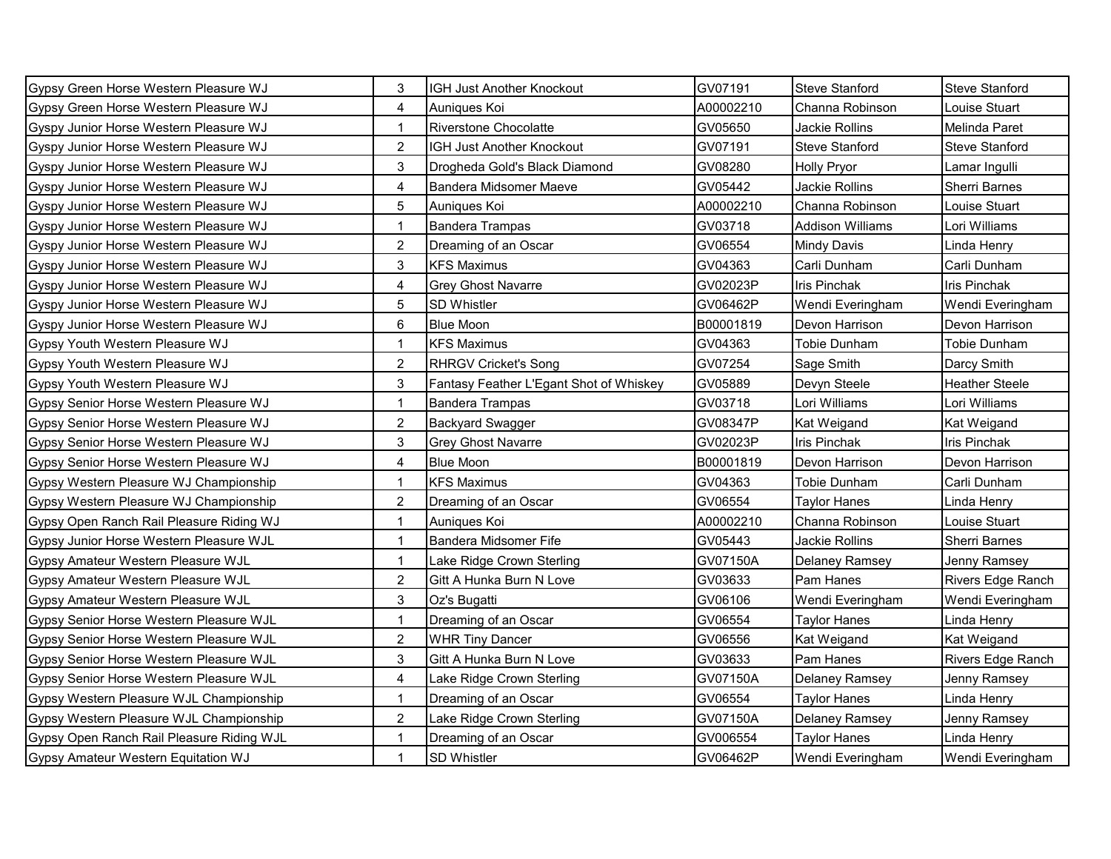| Gypsy Green Horse Western Pleasure WJ     | 3              | IGH Just Another Knockout               | GV07191   | <b>Steve Stanford</b> | Steve Stanford        |
|-------------------------------------------|----------------|-----------------------------------------|-----------|-----------------------|-----------------------|
| Gypsy Green Horse Western Pleasure WJ     | 4              | Auniques Koi                            | A00002210 | Channa Robinson       | Louise Stuart         |
| Gyspy Junior Horse Western Pleasure WJ    | $\mathbf{1}$   | <b>Riverstone Chocolatte</b>            | GV05650   | Jackie Rollins        | Melinda Paret         |
| Gyspy Junior Horse Western Pleasure WJ    | $\overline{2}$ | IGH Just Another Knockout               | GV07191   | <b>Steve Stanford</b> | <b>Steve Stanford</b> |
| Gyspy Junior Horse Western Pleasure WJ    | 3              | Drogheda Gold's Black Diamond           | GV08280   | <b>Holly Pryor</b>    | Lamar Ingulli         |
| Gyspy Junior Horse Western Pleasure WJ    | 4              | Bandera Midsomer Maeve                  | GV05442   | Jackie Rollins        | Sherri Barnes         |
| Gyspy Junior Horse Western Pleasure WJ    | 5              | Auniques Koi                            | A00002210 | Channa Robinson       | Louise Stuart         |
| Gyspy Junior Horse Western Pleasure WJ    | 1              | <b>Bandera Trampas</b>                  | GV03718   | Addison Williams      | ∟ori Williams         |
| Gyspy Junior Horse Western Pleasure WJ    | 2              | Dreaming of an Oscar                    | GV06554   | <b>Mindy Davis</b>    | Linda Henry           |
| Gyspy Junior Horse Western Pleasure WJ    | 3              | <b>KFS Maximus</b>                      | GV04363   | Carli Dunham          | Carli Dunham          |
| Gyspy Junior Horse Western Pleasure WJ    | $\overline{4}$ | <b>Grey Ghost Navarre</b>               | GV02023P  | <b>Iris Pinchak</b>   | <b>Iris Pinchak</b>   |
| Gyspy Junior Horse Western Pleasure WJ    | 5              | SD Whistler                             | GV06462P  | Wendi Everingham      | Wendi Everingham      |
| Gyspy Junior Horse Western Pleasure WJ    | 6              | <b>Blue Moon</b>                        | B00001819 | Devon Harrison        | Devon Harrison        |
| Gypsy Youth Western Pleasure WJ           | 1              | <b>KFS Maximus</b>                      | GV04363   | Tobie Dunham          | Tobie Dunham          |
| Gypsy Youth Western Pleasure WJ           | $\overline{a}$ | <b>RHRGV Cricket's Song</b>             | GV07254   | Sage Smith            | Darcy Smith           |
| Gypsy Youth Western Pleasure WJ           | 3              | Fantasy Feather L'Egant Shot of Whiskey | GV05889   | Devyn Steele          | Heather Steele        |
| Gypsy Senior Horse Western Pleasure WJ    | 1              | <b>Bandera Trampas</b>                  | GV03718   | Lori Williams         | Lori Williams         |
| Gypsy Senior Horse Western Pleasure WJ    | $\overline{a}$ | <b>Backyard Swagger</b>                 | GV08347P  | Kat Weigand           | Kat Weigand           |
| Gypsy Senior Horse Western Pleasure WJ    | 3              | Grey Ghost Navarre                      | GV02023P  | <b>Iris Pinchak</b>   | Iris Pinchak          |
| Gypsy Senior Horse Western Pleasure WJ    | 4              | <b>Blue Moon</b>                        | B00001819 | Devon Harrison        | Devon Harrison        |
| Gypsy Western Pleasure WJ Championship    | 1              | <b>KFS Maximus</b>                      | GV04363   | Tobie Dunham          | Carli Dunham          |
| Gypsy Western Pleasure WJ Championship    | $\overline{c}$ | Dreaming of an Oscar                    | GV06554   | Taylor Hanes          | Linda Henry           |
| Gypsy Open Ranch Rail Pleasure Riding WJ  | 1              | Auniques Koi                            | A00002210 | Channa Robinson       | Louise Stuart         |
| Gypsy Junior Horse Western Pleasure WJL   | $\mathbf{1}$   | Bandera Midsomer Fife                   | GV05443   | Jackie Rollins        | Sherri Barnes         |
| Gypsy Amateur Western Pleasure WJL        | $\mathbf{1}$   | Lake Ridge Crown Sterling               | GV07150A  | <b>Delaney Ramsey</b> | Jenny Ramsey          |
| Gypsy Amateur Western Pleasure WJL        | $\overline{2}$ | Gitt A Hunka Burn N Love                | GV03633   | Pam Hanes             | Rivers Edge Ranch     |
| Gypsy Amateur Western Pleasure WJL        | 3              | Oz's Bugatti                            | GV06106   | Wendi Everingham      | Wendi Everingham      |
| Gypsy Senior Horse Western Pleasure WJL   | $\mathbf{1}$   | Dreaming of an Oscar                    | GV06554   | <b>Taylor Hanes</b>   | Linda Henry           |
| Gypsy Senior Horse Western Pleasure WJL   | $\overline{2}$ | <b>WHR Tiny Dancer</b>                  | GV06556   | Kat Weigand           | Kat Weigand           |
| Gypsy Senior Horse Western Pleasure WJL   | 3              | Gitt A Hunka Burn N Love                | GV03633   | Pam Hanes             | Rivers Edge Ranch     |
| Gypsy Senior Horse Western Pleasure WJL   | 4              | Lake Ridge Crown Sterling               | GV07150A  | Delaney Ramsey        | Jenny Ramsey          |
| Gypsy Western Pleasure WJL Championship   | $\mathbf{1}$   | Dreaming of an Oscar                    | GV06554   | Taylor Hanes          | Linda Henry           |
| Gypsy Western Pleasure WJL Championship   | $\overline{a}$ | Lake Ridge Crown Sterling               | GV07150A  | Delaney Ramsey        | Jenny Ramsey          |
| Gypsy Open Ranch Rail Pleasure Riding WJL | $\mathbf{1}$   | Dreaming of an Oscar                    | GV006554  | Taylor Hanes          | Linda Henry           |
| Gypsy Amateur Western Equitation WJ       | $\mathbf{1}$   | SD Whistler                             | GV06462P  | Wendi Everingham      | Wendi Everingham      |